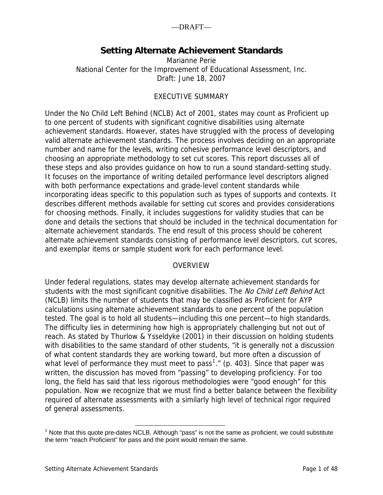# **Setting Alternate Achievement Standards**

Marianne Perie National Center for the Improvement of Educational Assessment, Inc. Draft: June 18, 2007

## EXECUTIVE SUMMARY

Under the No Child Left Behind (NCLB) Act of 2001, states may count as Proficient up to one percent of students with significant cognitive disabilities using alternate achievement standards. However, states have struggled with the process of developing valid alternate achievement standards. The process involves deciding on an appropriate number and name for the levels, writing cohesive performance level descriptors, and choosing an appropriate methodology to set cut scores. This report discusses all of these steps and also provides guidance on how to run a sound standard-setting study. It focuses on the importance of writing detailed performance level descriptors aligned with both performance expectations and grade-level content standards while incorporating ideas specific to this population such as types of supports and contexts. It describes different methods available for setting cut scores and provides considerations for choosing methods. Finally, it includes suggestions for validity studies that can be done and details the sections that should be included in the technical documentation for alternate achievement standards. The end result of this process should be coherent alternate achievement standards consisting of performance level descriptors, cut scores, and exemplar items or sample student work for each performance level.

### OVERVIEW

Under federal regulations, states may develop alternate achievement standards for students with the most significant cognitive disabilities. The No Child Left Behind Act (NCLB) limits the number of students that may be classified as Proficient for AYP calculations using alternate achievement standards to one percent of the population tested. The goal is to hold all students—including this one percent—to high standards. The difficulty lies in determining how high is appropriately challenging but not out of reach. As stated by Thurlow & Ysseldyke (2001) in their discussion on holding students with disabilities to the same standard of other students, "it is generally not a discussion of what content standards they are working toward, but more often a discussion of what level of performance they must meet to pass<sup>[1](#page-0-0)</sup>." (p. 403). Since that paper was written, the discussion has moved from "passing" to developing proficiency. For too long, the field has said that less rigorous methodologies were "good enough" for this population. Now we recognize that we must find a better balance between the flexibility required of alternate assessments with a similarly high level of technical rigor required of general assessments.

<span id="page-0-0"></span><sup>1&</sup>lt;br>Note that this quote pre-dates NCLB. Although "pass" is not the same as proficient, we could substitute the term "reach Proficient" for pass and the point would remain the same.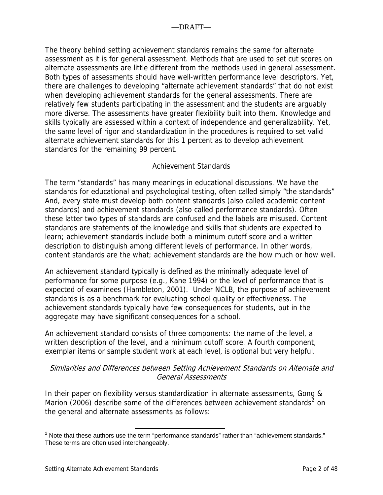The theory behind setting achievement standards remains the same for alternate assessment as it is for general assessment. Methods that are used to set cut scores on alternate assessments are little different from the methods used in general assessment. Both types of assessments should have well-written performance level descriptors. Yet, there are challenges to developing "alternate achievement standards" that do not exist when developing achievement standards for the general assessments. There are relatively few students participating in the assessment and the students are arguably more diverse. The assessments have greater flexibility built into them. Knowledge and skills typically are assessed within a context of independence and generalizability. Yet, the same level of rigor and standardization in the procedures is required to set valid alternate achievement standards for this 1 percent as to develop achievement standards for the remaining 99 percent.

## Achievement Standards

The term "standards" has many meanings in educational discussions. We have the standards for educational and psychological testing, often called simply "the standards" And, every state must develop both content standards (also called academic content standards) and achievement standards (also called performance standards). Often these latter two types of standards are confused and the labels are misused. Content standards are statements of the knowledge and skills that students are expected to learn; achievement standards include both a minimum cutoff score and a written description to distinguish among different levels of performance. In other words, content standards are the what; achievement standards are the how much or how well.

An achievement standard typically is defined as the minimally adequate level of performance for some purpose (e.g., Kane 1994) or the level of performance that is expected of examinees (Hambleton, 2001). Under NCLB, the purpose of achievement standards is as a benchmark for evaluating school quality or effectiveness. The achievement standards typically have few consequences for students, but in the aggregate may have significant consequences for a school.

An achievement standard consists of three components: the name of the level, a written description of the level, and a minimum cutoff score. A fourth component, exemplar items or sample student work at each level, is optional but very helpful.

## Similarities and Differences between Setting Achievement Standards on Alternate and General Assessments

In their paper on flexibility versus standardization in alternate assessments, Gong & Marion ([2](#page-1-0)006) describe some of the differences between achievement standards<sup>2</sup> on the general and alternate assessments as follows:

<span id="page-1-0"></span><sup>2</sup> Note that these authors use the term "performance standards" rather than "achievement standards." These terms are often used interchangeably.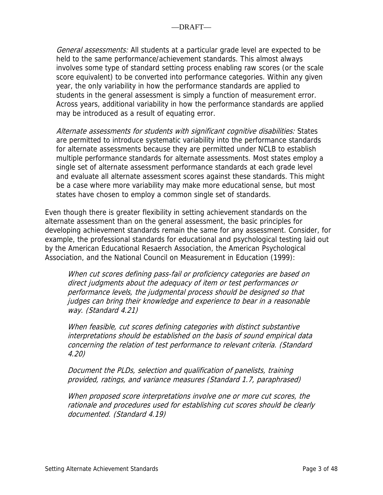General assessments: All students at a particular grade level are expected to be held to the same performance/achievement standards. This almost always involves some type of standard setting process enabling raw scores (or the scale score equivalent) to be converted into performance categories. Within any given year, the only variability in how the performance standards are applied to students in the general assessment is simply a function of measurement error. Across years, additional variability in how the performance standards are applied may be introduced as a result of equating error.

Alternate assessments for students with significant cognitive disabilities: States are permitted to introduce systematic variability into the performance standards for alternate assessments because they are permitted under NCLB to establish multiple performance standards for alternate assessments. Most states employ a single set of alternate assessment performance standards at each grade level and evaluate all alternate assessment scores against these standards. This might be a case where more variability may make more educational sense, but most states have chosen to employ a common single set of standards.

Even though there is greater flexibility in setting achievement standards on the alternate assessment than on the general assessment, the basic principles for developing achievement standards remain the same for any assessment. Consider, for example, the professional standards for educational and psychological testing laid out by the American Educational Resaerch Association, the American Psychological Association, and the National Council on Measurement in Education (1999):

When cut scores defining pass-fail or proficiency categories are based on direct judgments about the adequacy of item or test performances or performance levels, the judgmental process should be designed so that judges can bring their knowledge and experience to bear in a reasonable way. (Standard 4.21)

When feasible, cut scores defining categories with distinct substantive interpretations should be established on the basis of sound empirical data concerning the relation of test performance to relevant criteria. (Standard 4.20)

Document the PLDs, selection and qualification of panelists, training provided, ratings, and variance measures (Standard 1.7, paraphrased)

When proposed score interpretations involve one or more cut scores, the rationale and procedures used for establishing cut scores should be clearly documented. (Standard 4.19)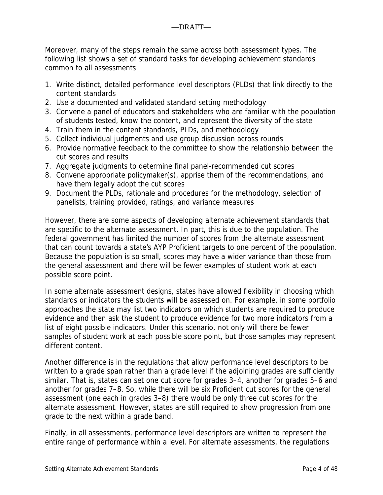Moreover, many of the steps remain the same across both assessment types. The following list shows a set of standard tasks for developing achievement standards common to all assessments

- 1. Write distinct, detailed performance level descriptors (PLDs) that link directly to the content standards
- 2. Use a documented and validated standard setting methodology
- 3. Convene a panel of educators and stakeholders who are familiar with the population of students tested, know the content, and represent the diversity of the state
- 4. Train them in the content standards, PLDs, and methodology
- 5. Collect individual judgments and use group discussion across rounds
- 6. Provide normative feedback to the committee to show the relationship between the cut scores and results
- 7. Aggregate judgments to determine final panel-recommended cut scores
- 8. Convene appropriate policymaker(s), apprise them of the recommendations, and have them legally adopt the cut scores
- 9. Document the PLDs, rationale and procedures for the methodology, selection of panelists, training provided, ratings, and variance measures

However, there are some aspects of developing alternate achievement standards that are specific to the alternate assessment. In part, this is due to the population. The federal government has limited the number of scores from the alternate assessment that can count towards a state's AYP Proficient targets to one percent of the population. Because the population is so small, scores may have a wider variance than those from the general assessment and there will be fewer examples of student work at each possible score point.

In some alternate assessment designs, states have allowed flexibility in choosing which standards or indicators the students will be assessed on. For example, in some portfolio approaches the state may list two indicators on which students are required to produce evidence and then ask the student to produce evidence for two more indicators from a list of eight possible indicators. Under this scenario, not only will there be fewer samples of student work at each possible score point, but those samples may represent different content.

Another difference is in the regulations that allow performance level descriptors to be written to a grade span rather than a grade level if the adjoining grades are sufficiently similar. That is, states can set one cut score for grades 3–4, another for grades 5–6 and another for grades 7–8. So, while there will be six Proficient cut scores for the general assessment (one each in grades 3–8) there would be only three cut scores for the alternate assessment. However, states are still required to show progression from one grade to the next within a grade band.

Finally, in all assessments, performance level descriptors are written to represent the entire range of performance within a level. For alternate assessments, the regulations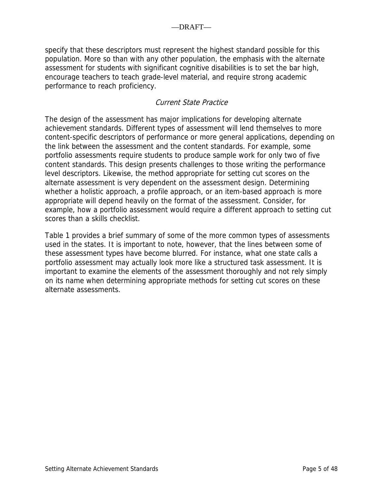specify that these descriptors must represent the highest standard possible for this population. More so than with any other population, the emphasis with the alternate assessment for students with significant cognitive disabilities is to set the bar high, encourage teachers to teach grade-level material, and require strong academic performance to reach proficiency.

## Current State Practice

The design of the assessment has major implications for developing alternate achievement standards. Different types of assessment will lend themselves to more content-specific descriptors of performance or more general applications, depending on the link between the assessment and the content standards. For example, some portfolio assessments require students to produce sample work for only two of five content standards. This design presents challenges to those writing the performance level descriptors. Likewise, the method appropriate for setting cut scores on the alternate assessment is very dependent on the assessment design. Determining whether a holistic approach, a profile approach, or an item-based approach is more appropriate will depend heavily on the format of the assessment. Consider, for example, how a portfolio assessment would require a different approach to setting cut scores than a skills checklist.

Table 1 provides a brief summary of some of the more common types of assessments used in the states. It is important to note, however, that the lines between some of these assessment types have become blurred. For instance, what one state calls a portfolio assessment may actually look more like a structured task assessment. It is important to examine the elements of the assessment thoroughly and not rely simply on its name when determining appropriate methods for setting cut scores on these alternate assessments.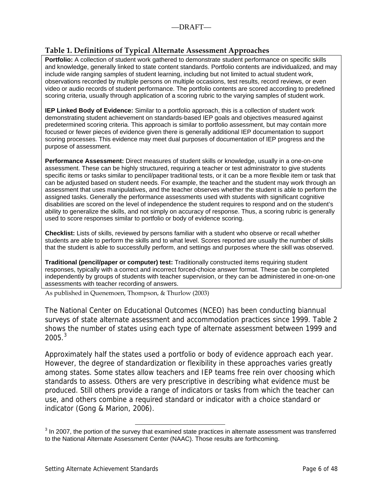### <span id="page-5-0"></span>**Table 1. Definitions of Typical Alternate Assessment Approaches**

**Portfolio:** A collection of student work gathered to demonstrate student performance on specific skills and knowledge, generally linked to state content standards. Portfolio contents are individualized, and may include wide ranging samples of student learning, including but not limited to actual student work, observations recorded by multiple persons on multiple occasions, test results, record reviews, or even video or audio records of student performance. The portfolio contents are scored according to predefined scoring criteria, usually through application of a scoring rubric to the varying samples of student work.

**IEP Linked Body of Evidence:** Similar to a portfolio approach, this is a collection of student work demonstrating student achievement on standards-based IEP goals and objectives measured against predetermined scoring criteria. This approach is similar to portfolio assessment, but may contain more focused or fewer pieces of evidence given there is generally additional IEP documentation to support scoring processes. This evidence may meet dual purposes of documentation of IEP progress and the purpose of assessment.

**Performance Assessment:** Direct measures of student skills or knowledge, usually in a one-on-one assessment. These can be highly structured, requiring a teacher or test administrator to give students specific items or tasks similar to pencil/paper traditional tests, or it can be a more flexible item or task that can be adjusted based on student needs. For example, the teacher and the student may work through an assessment that uses manipulatives, and the teacher observes whether the student is able to perform the assigned tasks. Generally the performance assessments used with students with significant cognitive disabilities are scored on the level of independence the student requires to respond and on the student's ability to generalize the skills, and not simply on accuracy of response. Thus, a scoring rubric is generally used to score responses similar to portfolio or body of evidence scoring.

**Checklist:** Lists of skills, reviewed by persons familiar with a student who observe or recall whether students are able to perform the skills and to what level. Scores reported are usually the number of skills that the student is able to successfully perform, and settings and purposes where the skill was observed.

**Traditional (pencil/paper or computer) test:** Traditionally constructed items requiring student responses, typically with a correct and incorrect forced-choice answer format. These can be completed independently by groups of students with teacher supervision, or they can be administered in one-on-one assessments with teacher recording of answers.

As published in Quenemoen, Thompson, & Thurlow (2003)

The National Center on Educational Outcomes (NCEO) has been conducting biannual surveys of state alternate assessment and accommodation practices since 1999. Table 2 shows the number of states using each type of alternate assessment between 1999 and  $2005.<sup>3</sup>$  $2005.<sup>3</sup>$  $2005.<sup>3</sup>$ 

Approximately half the states used a portfolio or body of evidence approach each year. However, the degree of standardization or flexibility in these approaches varies greatly among states. Some states allow teachers and IEP teams free rein over choosing which standards to assess. Others are very prescriptive in describing what evidence must be produced. Still others provide a range of indicators or tasks from which the teacher can use, and others combine a required standard or indicator with a choice standard or indicator (Gong & Marion, 2006).

<sup>&</sup>lt;sup>3</sup> In 2007, the portion of the survey that examined state practices in alternate assessment was transferred to the National Alternate Assessment Center (NAAC). Those results are forthcoming.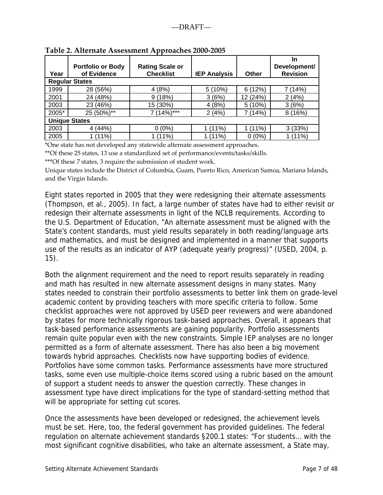|       | <b>Portfolio or Body</b> | <b>Rating Scale or</b> |                     |            | In<br>Development/ |
|-------|--------------------------|------------------------|---------------------|------------|--------------------|
| Year  | of Evidence              | <b>Checklist</b>       | <b>IEP Analysis</b> | Other      | <b>Revision</b>    |
|       | <b>Regular States</b>    |                        |                     |            |                    |
| 1999  | 28 (56%)                 | 4(8%)                  | 5 (10%)             | (12%)<br>6 | (14%)              |
| 2001  | 24 (48%)                 | 9(18%)                 | 3(6%)               | 12 (24%)   | 2(4%)              |
| 2003  | 23 (46%)                 | 15 (30%)               | 4(8%)               | 5(10%)     | 3(6%)              |
| 2005* | 25 (50%)**               | $(14\%)$ ***           | 2(4%)               | (14%)      | 8(16%)             |
|       | <b>Unique States</b>     |                        |                     |            |                    |
| 2003  | 4(44%)                   | (0%)                   | $(11\%)$            | $(11\%)$   | 3(33%)             |
| 2005  | $(11\%)$                 | (11%)                  | $(11\%)$            | (0%)       | (11%)              |

**Table 2. Alternate Assessment Approaches 2000‐2005**

\*One state has not developed any statewide alternate assessment approaches.

\*\*Of these 25 states, 13 use a standardized set of performance/events/tasks/skills.

\*\*\*Of these 7 states, 3 require the submission of student work.

Unique states include the District of Columbia, Guam, Puerto Rico, American Samoa, Mariana Islands, and the Virgin Islands.

Eight states reported in 2005 that they were redesigning their alternate assessments (Thompson, et al., 2005). In fact, a large number of states have had to either revisit or redesign their alternate assessments in light of the NCLB requirements. According to the U.S. Department of Education, "An alternate assessment must be aligned with the State's content standards, must yield results separately in both reading/language arts and mathematics, and must be designed and implemented in a manner that supports use of the results as an indicator of AYP (adequate yearly progress)" (USED, 2004, p. 15).

Both the alignment requirement and the need to report results separately in reading and math has resulted in new alternate assessment designs in many states. Many states needed to constrain their portfolio assessments to better link them on grade-level academic content by providing teachers with more specific criteria to follow. Some checklist approaches were not approved by USED peer reviewers and were abandoned by states for more technically rigorous task-based approaches. Overall, it appears that task-based performance assessments are gaining popularity. Portfolio assessments remain quite popular even with the new constraints. Simple IEP analyses are no longer permitted as a form of alternate assessment. There has also been a big movement towards hybrid approaches. Checklists now have supporting bodies of evidence. Portfolios have some common tasks. Performance assessments have more structured tasks, some even use multiple-choice items scored using a rubric based on the amount of support a student needs to answer the question correctly. These changes in assessment type have direct implications for the type of standard-setting method that will be appropriate for setting cut scores.

Once the assessments have been developed or redesigned, the achievement levels must be set. Here, too, the federal government has provided guidelines. The federal regulation on alternate achievement standards §200.1 states: "For students… with the most significant cognitive disabilities, who take an alternate assessment, a State may,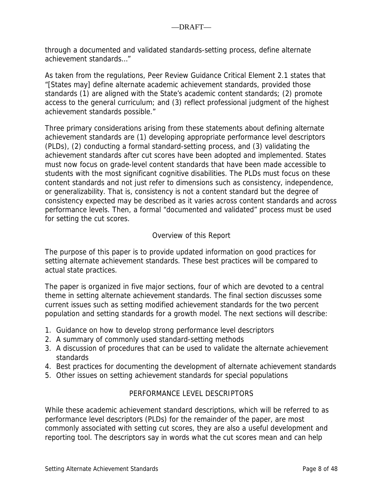through a documented and validated standards-setting process, define alternate achievement standards…"

As taken from the regulations, Peer Review Guidance Critical Element 2.1 states that "[States may] define alternate academic achievement standards, provided those standards (1) are aligned with the State's academic content standards; (2) promote access to the general curriculum; and (3) reflect professional judgment of the highest achievement standards possible."

Three primary considerations arising from these statements about defining alternate achievement standards are (1) developing appropriate performance level descriptors (PLDs), (2) conducting a formal standard-setting process, and (3) validating the achievement standards after cut scores have been adopted and implemented. States must now focus on grade-level content standards that have been made accessible to students with the most significant cognitive disabilities. The PLDs must focus on these content standards and not just refer to dimensions such as consistency, independence, or generalizability. That is, consistency is not a content standard but the degree of consistency expected may be described as it varies across content standards and across performance levels. Then, a formal "documented and validated" process must be used for setting the cut scores.

## Overview of this Report

The purpose of this paper is to provide updated information on good practices for setting alternate achievement standards. These best practices will be compared to actual state practices.

The paper is organized in five major sections, four of which are devoted to a central theme in setting alternate achievement standards. The final section discusses some current issues such as setting modified achievement standards for the two percent population and setting standards for a growth model. The next sections will describe:

- 1. Guidance on how to develop strong performance level descriptors
- 2. A summary of commonly used standard-setting methods
- 3. A discussion of procedures that can be used to validate the alternate achievement standards
- 4. Best practices for documenting the development of alternate achievement standards
- 5. Other issues on setting achievement standards for special populations

### PERFORMANCE LEVEL DESCRIPTORS

While these academic achievement standard descriptions, which will be referred to as performance level descriptors (PLDs) for the remainder of the paper, are most commonly associated with setting cut scores, they are also a useful development and reporting tool. The descriptors say in words what the cut scores mean and can help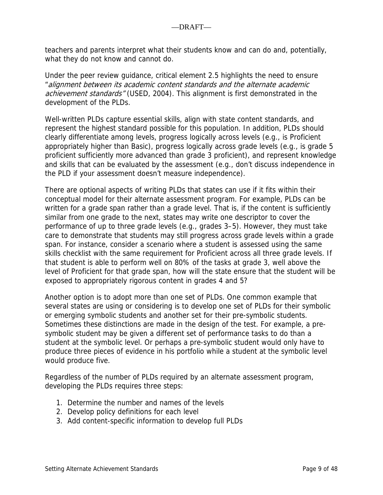teachers and parents interpret what their students know and can do and, potentially, what they do not know and cannot do.

Under the peer review guidance, critical element 2.5 highlights the need to ensure "alignment between its academic content standards and the alternate academic achievement standards" (USED, 2004). This alignment is first demonstrated in the development of the PLDs.

Well-written PLDs capture essential skills, align with state content standards, and represent the highest standard possible for this population. In addition, PLDs should clearly differentiate among levels, progress logically across levels (e.g., is Proficient appropriately higher than Basic), progress logically across grade levels (e.g., is grade 5 proficient sufficiently more advanced than grade 3 proficient), and represent knowledge and skills that can be evaluated by the assessment (e.g., don't discuss independence in the PLD if your assessment doesn't measure independence).

There are optional aspects of writing PLDs that states can use if it fits within their conceptual model for their alternate assessment program. For example, PLDs can be written for a grade span rather than a grade level. That is, if the content is sufficiently similar from one grade to the next, states may write one descriptor to cover the performance of up to three grade levels (e.g., grades 3–5). However, they must take care to demonstrate that students may still progress across grade levels within a grade span. For instance, consider a scenario where a student is assessed using the same skills checklist with the same requirement for Proficient across all three grade levels. If that student is able to perform well on 80% of the tasks at grade 3, well above the level of Proficient for that grade span, how will the state ensure that the student will be exposed to appropriately rigorous content in grades 4 and 5?

Another option is to adopt more than one set of PLDs. One common example that several states are using or considering is to develop one set of PLDs for their symbolic or emerging symbolic students and another set for their pre-symbolic students. Sometimes these distinctions are made in the design of the test. For example, a presymbolic student may be given a different set of performance tasks to do than a student at the symbolic level. Or perhaps a pre-symbolic student would only have to produce three pieces of evidence in his portfolio while a student at the symbolic level would produce five.

Regardless of the number of PLDs required by an alternate assessment program, developing the PLDs requires three steps:

- 1. Determine the number and names of the levels
- 2. Develop policy definitions for each level
- 3. Add content-specific information to develop full PLDs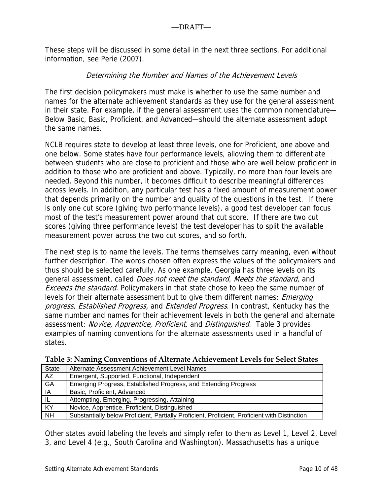These steps will be discussed in some detail in the next three sections. For additional information, see Perie (2007).

## Determining the Number and Names of the Achievement Levels

The first decision policymakers must make is whether to use the same number and names for the alternate achievement standards as they use for the general assessment in their state. For example, if the general assessment uses the common nomenclature— Below Basic, Basic, Proficient, and Advanced—should the alternate assessment adopt the same names.

NCLB requires state to develop at least three levels, one for Proficient, one above and one below. Some states have four performance levels, allowing them to differentiate between students who are close to proficient and those who are well below proficient in addition to those who are proficient and above. Typically, no more than four levels are needed. Beyond this number, it becomes difficult to describe meaningful differences across levels. In addition, any particular test has a fixed amount of measurement power that depends primarily on the number and quality of the questions in the test. If there is only one cut score (giving two performance levels), a good test developer can focus most of the test's measurement power around that cut score. If there are two cut scores (giving three performance levels) the test developer has to split the available measurement power across the two cut scores, and so forth.

The next step is to name the levels. The terms themselves carry meaning, even without further description. The words chosen often express the values of the policymakers and thus should be selected carefully. As one example, Georgia has three levels on its general assessment, called Does not meet the standard, Meets the standard, and Exceeds the standard. Policymakers in that state chose to keep the same number of levels for their alternate assessment but to give them different names: *Emerging* progress, Established Progress, and Extended Progress. In contrast, Kentucky has the same number and names for their achievement levels in both the general and alternate assessment: Novice, Apprentice, Proficient, and Distinguished. Table 3 provides examples of naming conventions for the alternate assessments used in a handful of states.

| <b>State</b> | Alternate Assessment Achievement Level Names                                                  |
|--------------|-----------------------------------------------------------------------------------------------|
| AZ           | Emergent, Supported, Functional, Independent                                                  |
| GA           | Emerging Progress, Established Progress, and Extending Progress                               |
| IA           | Basic, Proficient, Advanced                                                                   |
| IL.          | Attempting, Emerging, Progressing, Attaining                                                  |
| KY           | Novice, Apprentice, Proficient, Distinguished                                                 |
| <b>NH</b>    | Substantially below Proficient, Partially Proficient, Proficient, Proficient with Distinction |

**Table 3: Naming Conventions of Alternate Achievement Levels for Select States**

Other states avoid labeling the levels and simply refer to them as Level 1, Level 2, Level 3, and Level 4 (e.g., South Carolina and Washington). Massachusetts has a unique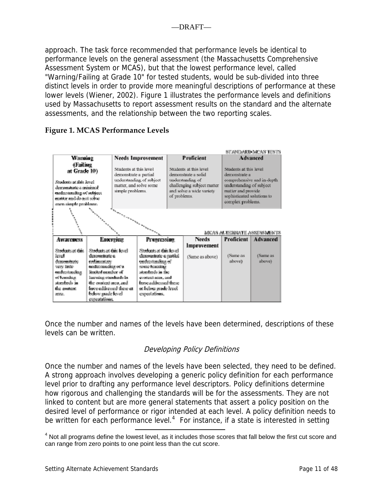<span id="page-10-0"></span>approach. The task force recommended that performance levels be identical to performance levels on the general assessment (the Massachusetts Comprehensive Assessment System or MCAS), but that the lowest performance level, called "Warning/Failing at Grade 10" for tested students, would be sub-divided into three distinct levels in order to provide more meaningful descriptions of performance at these lower levels (Wiener, 2002). Figure 1 illustrates the performance levels and definitions used by Massachusetts to report assessment results on the standard and the alternate assessments, and the relationship between the two reporting scales.

### **Figure 1. MCAS Performance Levels**



Once the number and names of the levels have been determined, descriptions of these levels can be written.

# Developing Policy Definitions

Once the number and names of the levels have been selected, they need to be defined. A strong approach involves developing a generic policy definition for each performance level prior to drafting any performance level descriptors. Policy definitions determine how rigorous and challenging the standards will be for the assessments. They are not linked to content but are more general statements that assert a policy position on the desired level of performance or rigor intended at each level. A policy definition needs to be written for each performance level.<sup>[4](#page-10-0)</sup> For instance, if a state is interested in setting

<sup>4</sup> Not all programs define the lowest level, as it includes those scores that fall below the first cut score and can range from zero points to one point less than the cut score.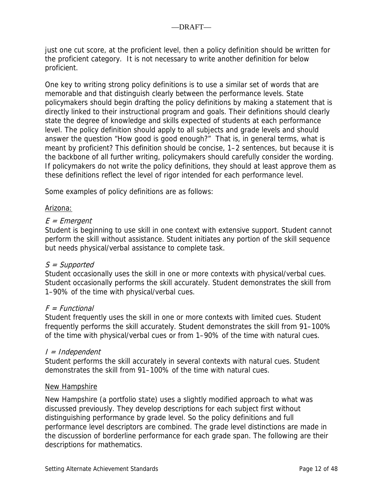just one cut score, at the proficient level, then a policy definition should be written for the proficient category. It is not necessary to write another definition for below proficient.

One key to writing strong policy definitions is to use a similar set of words that are memorable and that distinguish clearly between the performance levels. State policymakers should begin drafting the policy definitions by making a statement that is directly linked to their instructional program and goals. Their definitions should clearly state the degree of knowledge and skills expected of students at each performance level. The policy definition should apply to all subjects and grade levels and should answer the question "How good is good enough?" That is, in general terms, what is meant by proficient? This definition should be concise, 1–2 sentences, but because it is the backbone of all further writing, policymakers should carefully consider the wording. If policymakers do not write the policy definitions, they should at least approve them as these definitions reflect the level of rigor intended for each performance level.

Some examples of policy definitions are as follows:

### Arizona:

## $E = E$ mergent

Student is beginning to use skill in one context with extensive support. Student cannot perform the skill without assistance. Student initiates any portion of the skill sequence but needs physical/verbal assistance to complete task.

### $S =$  Supported

Student occasionally uses the skill in one or more contexts with physical/verbal cues. Student occasionally performs the skill accurately. Student demonstrates the skill from 1–90% of the time with physical/verbal cues.

### $F = Functional$

Student frequently uses the skill in one or more contexts with limited cues. Student frequently performs the skill accurately. Student demonstrates the skill from 91–100% of the time with physical/verbal cues or from 1–90% of the time with natural cues.

### I = Independent

Student performs the skill accurately in several contexts with natural cues. Student demonstrates the skill from 91–100% of the time with natural cues.

### New Hampshire

New Hampshire (a portfolio state) uses a slightly modified approach to what was discussed previously. They develop descriptions for each subject first without distinguishing performance by grade level. So the policy definitions and full performance level descriptors are combined. The grade level distinctions are made in the discussion of borderline performance for each grade span. The following are their descriptions for mathematics.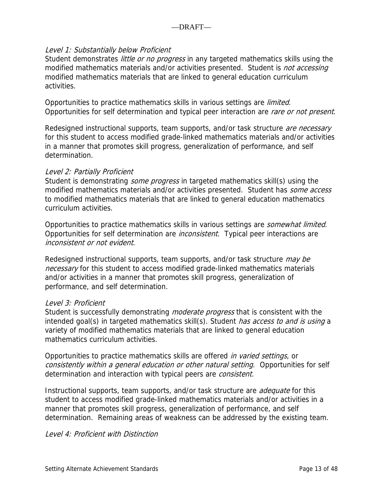## Level 1: Substantially below Proficient

Student demonstrates *little or no progress* in any targeted mathematics skills using the modified mathematics materials and/or activities presented. Student is *not accessing* modified mathematics materials that are linked to general education curriculum activities.

Opportunities to practice mathematics skills in various settings are *limited*. Opportunities for self determination and typical peer interaction are rare or not present.

Redesigned instructional supports, team supports, and/or task structure *are necessary* for this student to access modified grade-linked mathematics materials and/or activities in a manner that promotes skill progress, generalization of performance, and self determination.

### Level 2: Partially Proficient

Student is demonstrating *some progress* in targeted mathematics skill(s) using the modified mathematics materials and/or activities presented. Student has *some access* to modified mathematics materials that are linked to general education mathematics curriculum activities.

Opportunities to practice mathematics skills in various settings are *somewhat limited*. Opportunities for self determination are *inconsistent*. Typical peer interactions are inconsistent or not evident.

Redesigned instructional supports, team supports, and/or task structure *may be* necessary for this student to access modified grade-linked mathematics materials and/or activities in a manner that promotes skill progress, generalization of performance, and self determination.

### Level 3: Proficient

Student is successfully demonstrating *moderate progress* that is consistent with the intended goal(s) in targeted mathematics skill(s). Student *has access to and is using* a variety of modified mathematics materials that are linked to general education mathematics curriculum activities.

Opportunities to practice mathematics skills are offered *in varied settings*, or consistently within a general education or other natural setting. Opportunities for self determination and interaction with typical peers are *consistent*.

Instructional supports, team supports, and/or task structure are *adequate* for this student to access modified grade-linked mathematics materials and/or activities in a manner that promotes skill progress, generalization of performance, and self determination. Remaining areas of weakness can be addressed by the existing team.

### Level 4: Proficient with Distinction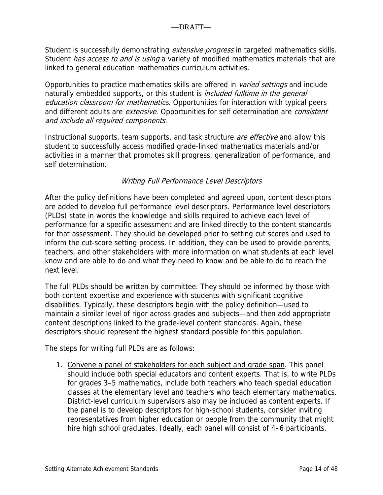Student is successfully demonstrating *extensive progress* in targeted mathematics skills. Student *has access to and is using* a variety of modified mathematics materials that are linked to general education mathematics curriculum activities.

Opportunities to practice mathematics skills are offered in *varied settings* and include naturally embedded supports, or this student is *included fulltime in the general* education classroom for mathematics. Opportunities for interaction with typical peers and different adults are *extensive*. Opportunities for self determination are *consistent* and include all required components.

Instructional supports, team supports, and task structure *are effective* and allow this student to successfully access modified grade-linked mathematics materials and/or activities in a manner that promotes skill progress, generalization of performance, and self determination.

## Writing Full Performance Level Descriptors

After the policy definitions have been completed and agreed upon, content descriptors are added to develop full performance level descriptors. Performance level descriptors (PLDs) state in words the knowledge and skills required to achieve each level of performance for a specific assessment and are linked directly to the content standards for that assessment. They should be developed prior to setting cut scores and used to inform the cut-score setting process. In addition, they can be used to provide parents, teachers, and other stakeholders with more information on what students at each level know and are able to do and what they need to know and be able to do to reach the next level.

The full PLDs should be written by committee. They should be informed by those with both content expertise and experience with students with significant cognitive disabilities. Typically, these descriptors begin with the policy definition—used to maintain a similar level of rigor across grades and subjects—and then add appropriate content descriptions linked to the grade-level content standards. Again, these descriptors should represent the highest standard possible for this population.

The steps for writing full PLDs are as follows:

1. Convene a panel of stakeholders for each subject and grade span. This panel should include both special educators and content experts. That is, to write PLDs for grades 3–5 mathematics, include both teachers who teach special education classes at the elementary level and teachers who teach elementary mathematics. District-level curriculum supervisors also may be included as content experts. If the panel is to develop descriptors for high-school students, consider inviting representatives from higher education or people from the community that might hire high school graduates. Ideally, each panel will consist of 4–6 participants.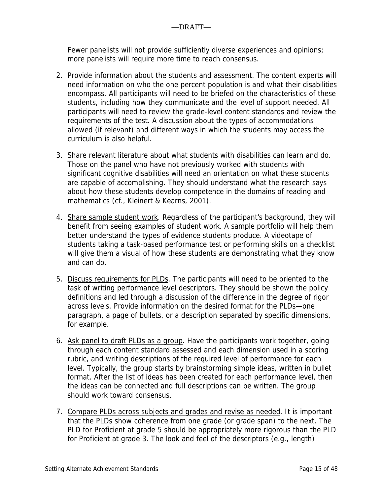Fewer panelists will not provide sufficiently diverse experiences and opinions; more panelists will require more time to reach consensus.

- 2. Provide information about the students and assessment. The content experts will need information on who the one percent population is and what their disabilities encompass. All participants will need to be briefed on the characteristics of these students, including how they communicate and the level of support needed. All participants will need to review the grade-level content standards and review the requirements of the test. A discussion about the types of accommodations allowed (if relevant) and different ways in which the students may access the curriculum is also helpful.
- 3. Share relevant literature about what students with disabilities can learn and do. Those on the panel who have not previously worked with students with significant cognitive disabilities will need an orientation on what these students are capable of accomplishing. They should understand what the research says about how these students develop competence in the domains of reading and mathematics (cf., Kleinert & Kearns, 2001).
- 4. Share sample student work. Regardless of the participant's background, they will benefit from seeing examples of student work. A sample portfolio will help them better understand the types of evidence students produce. A videotape of students taking a task-based performance test or performing skills on a checklist will give them a visual of how these students are demonstrating what they know and can do.
- 5. Discuss requirements for PLDs. The participants will need to be oriented to the task of writing performance level descriptors. They should be shown the policy definitions and led through a discussion of the difference in the degree of rigor across levels. Provide information on the desired format for the PLDs—one paragraph, a page of bullets, or a description separated by specific dimensions, for example.
- 6. Ask panel to draft PLDs as a group. Have the participants work together, going through each content standard assessed and each dimension used in a scoring rubric, and writing descriptions of the required level of performance for each level. Typically, the group starts by brainstorming simple ideas, written in bullet format. After the list of ideas has been created for each performance level, then the ideas can be connected and full descriptions can be written. The group should work toward consensus.
- 7. Compare PLDs across subjects and grades and revise as needed. It is important that the PLDs show coherence from one grade (or grade span) to the next. The PLD for Proficient at grade 5 should be appropriately more rigorous than the PLD for Proficient at grade 3. The look and feel of the descriptors (e.g., length)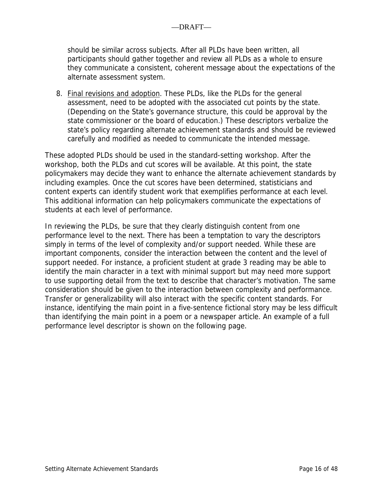should be similar across subjects. After all PLDs have been written, all participants should gather together and review all PLDs as a whole to ensure they communicate a consistent, coherent message about the expectations of the alternate assessment system.

8. Final revisions and adoption. These PLDs, like the PLDs for the general assessment, need to be adopted with the associated cut points by the state. (Depending on the State's governance structure, this could be approval by the state commissioner or the board of education.) These descriptors verbalize the state's policy regarding alternate achievement standards and should be reviewed carefully and modified as needed to communicate the intended message.

These adopted PLDs should be used in the standard-setting workshop. After the workshop, both the PLDs and cut scores will be available. At this point, the state policymakers may decide they want to enhance the alternate achievement standards by including examples. Once the cut scores have been determined, statisticians and content experts can identify student work that exemplifies performance at each level. This additional information can help policymakers communicate the expectations of students at each level of performance.

In reviewing the PLDs, be sure that they clearly distinguish content from one performance level to the next. There has been a temptation to vary the descriptors simply in terms of the level of complexity and/or support needed. While these are important components, consider the interaction between the content and the level of support needed. For instance, a proficient student at grade 3 reading may be able to identify the main character in a text with minimal support but may need more support to use supporting detail from the text to describe that character's motivation. The same consideration should be given to the interaction between complexity and performance. Transfer or generalizability will also interact with the specific content standards. For instance, identifying the main point in a five-sentence fictional story may be less difficult than identifying the main point in a poem or a newspaper article. An example of a full performance level descriptor is shown on the following page.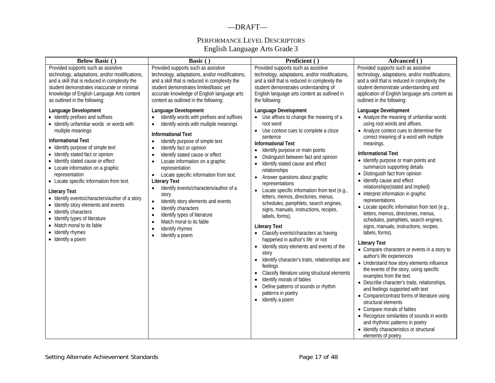#### —DRAFT—

### PERFORMANCE LEVEL DESCRIPTORS English Language Arts Grade 3

| <b>Below Basic ()</b>                                                                                                                                                                                                                                                                                                                                                                                                                                                                                                                                                                                                          | Basic ()                                                                                                                                                                                                                                                                                                                                                                                                                                                                                                                                                                                                                                                                                                                                                    | Proficient ()                                                                                                                                                                                                                                                                                                                                                                                                                                                                                                                                                                                                                                                                                                                                                                                                                                                                                                                                                                                               | Advanced ()                                                                                                                                                                                                                                                                                                                                                                                                                                                                                                                                                                                                                                                                                                                                                                                                                                                                                                                                                                                                                                                                                                                                                                                                                                      |  |  |
|--------------------------------------------------------------------------------------------------------------------------------------------------------------------------------------------------------------------------------------------------------------------------------------------------------------------------------------------------------------------------------------------------------------------------------------------------------------------------------------------------------------------------------------------------------------------------------------------------------------------------------|-------------------------------------------------------------------------------------------------------------------------------------------------------------------------------------------------------------------------------------------------------------------------------------------------------------------------------------------------------------------------------------------------------------------------------------------------------------------------------------------------------------------------------------------------------------------------------------------------------------------------------------------------------------------------------------------------------------------------------------------------------------|-------------------------------------------------------------------------------------------------------------------------------------------------------------------------------------------------------------------------------------------------------------------------------------------------------------------------------------------------------------------------------------------------------------------------------------------------------------------------------------------------------------------------------------------------------------------------------------------------------------------------------------------------------------------------------------------------------------------------------------------------------------------------------------------------------------------------------------------------------------------------------------------------------------------------------------------------------------------------------------------------------------|--------------------------------------------------------------------------------------------------------------------------------------------------------------------------------------------------------------------------------------------------------------------------------------------------------------------------------------------------------------------------------------------------------------------------------------------------------------------------------------------------------------------------------------------------------------------------------------------------------------------------------------------------------------------------------------------------------------------------------------------------------------------------------------------------------------------------------------------------------------------------------------------------------------------------------------------------------------------------------------------------------------------------------------------------------------------------------------------------------------------------------------------------------------------------------------------------------------------------------------------------|--|--|
| Provided supports such as assistive<br>technology, adaptations, and/or modifications,<br>and a skill that is reduced in complexity the<br>student demonstrates inaccurate or minimal<br>knowledge of English Language Arts content<br>as outlined in the following:                                                                                                                                                                                                                                                                                                                                                            | Provided supports such as assistive<br>technology, adaptations, and/or modifications,<br>and a skill that is reduced in complexity the<br>student demonstrates limited/basic yet<br>accurate knowledge of English language arts<br>content as outlined in the following:                                                                                                                                                                                                                                                                                                                                                                                                                                                                                    | Provided supports such as assistive<br>technology, adaptations, and/or modifications,<br>and a skill that is reduced in complexity the<br>student demonstrates understanding of<br>English language arts content as outlined in<br>the following:                                                                                                                                                                                                                                                                                                                                                                                                                                                                                                                                                                                                                                                                                                                                                           | Provided supports such as assistive<br>technology, adaptations, and/or modifications,<br>and a skill that is reduced in complexity the<br>student demonstrate understanding and<br>application of English language arts content as<br>outlined in the following:                                                                                                                                                                                                                                                                                                                                                                                                                                                                                                                                                                                                                                                                                                                                                                                                                                                                                                                                                                                 |  |  |
| Language Development<br>• Identify prefixes and suffixes<br>• Identify unfamiliar words or words with<br>multiple meanings<br><b>Informational Text</b><br>• Identify purpose of simple text<br>• Identify stated fact or opinion<br>• Identify stated cause or effect<br>• Locate information on a graphic<br>representation<br>• Locate specific information from text.<br><b>Literary Text</b><br>• Identify events/characters/author of a story<br>• Identify story elements and events<br>• Identify characters<br>• Identify types of literature<br>• Match moral to its fable<br>• Identify rhymes<br>• Identify a poem | Language Development<br>Identify words with prefixes and suffixes<br>$\bullet$<br>Identify words with multiple meanings<br>$\bullet$<br><b>Informational Text</b><br>Identify purpose of simple text<br>$\bullet$<br>Identify fact or opinion<br>$\bullet$<br>Identify stated cause or effect<br>$\bullet$<br>Locate information on a graphic<br>$\bullet$<br>representation<br>Locate specific information from text.<br>$\bullet$<br><b>Literary Text</b><br>Identify events/characters/author of a<br>story<br>Identify story elements and events<br>$\bullet$<br>Identify characters<br>$\bullet$<br>Identify types of literature<br>$\bullet$<br>Match moral to its fable<br>$\bullet$<br>Identify rhymes<br>$\bullet$<br>Identify a poem<br>$\bullet$ | Language Development<br>• Use affixes to change the meaning of a<br>root word<br>Use context cues to complete a cloze<br>$\bullet$<br>sentence<br><b>Informational Text</b><br>Identify purpose or main points<br>Distinguish between fact and opinion<br>$\bullet$<br>Identify stated cause and effect<br>$\bullet$<br>relationships<br>Answer questions about graphic<br>representations<br>Locate specific information from text (e.g.,<br>$\bullet$<br>letters, memos, directories, menus,<br>schedules, pamphlets, search engines,<br>signs, manuals, instructions, recipes,<br>labels, forms).<br><b>Literary Text</b><br>• Classify events/characters as having<br>happened in author's life or not<br>Identify story elements and events of the<br>$\bullet$<br>story<br>Identify character's traits, relationships and<br>feelings<br>Classify literature using structural elements<br>Identify morals of fables<br>Define patterns of sounds or rhythm<br>patterns in poetry<br>• Identify a poem | Language Development<br>• Analyze the meaning of unfamiliar words<br>using root words and affixes.<br>• Analyze context cues to determine the<br>correct meaning of a word with multiple<br>meanings.<br><b>Informational Text</b><br>• Identify purpose or main points and<br>summarize supporting details<br>• Distinguish fact from opinion<br>• Identify cause and effect<br>relationships(stated and implied)<br>• Interpret information in graphic<br>representations<br>• Locate specific information from text (e.g.,<br>letters, memos, directories, menus,<br>schedules, pamphlets, search engines,<br>signs, manuals, instructions, recipes,<br>labels, forms).<br><b>Literary Text</b><br>• Compare characters or events in a story to<br>author's life experiences<br>• Understand how story elements influence<br>the events of the story, using specific<br>examples from the text.<br>• Describe character's traits, relationships,<br>and feelings supported with text<br>• Compare/contrast forms of literature using<br>structural elements<br>• Compare morals of fables<br>• Recognize similarities of sounds in words<br>and rhythmic patterns in poetry<br>• Identify characteristics or structural<br>elements of poetry |  |  |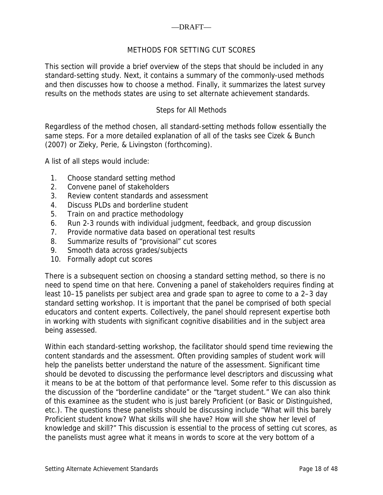## —DRAFT—

## METHODS FOR SETTING CUT SCORES

This section will provide a brief overview of the steps that should be included in any standard-setting study. Next, it contains a summary of the commonly-used methods and then discusses how to choose a method. Finally, it summarizes the latest survey results on the methods states are using to set alternate achievement standards.

### Steps for All Methods

Regardless of the method chosen, all standard-setting methods follow essentially the same steps. For a more detailed explanation of all of the tasks see Cizek & Bunch (2007) or Zieky, Perie, & Livingston (forthcoming).

A list of all steps would include:

- 1. Choose standard setting method
- 2. Convene panel of stakeholders
- 3. Review content standards and assessment
- 4. Discuss PLDs and borderline student
- 5. Train on and practice methodology
- 6. Run 2-3 rounds with individual judgment, feedback, and group discussion
- 7. Provide normative data based on operational test results
- 8. Summarize results of "provisional" cut scores
- 9. Smooth data across grades/subjects
- 10. Formally adopt cut scores

There is a subsequent section on choosing a standard setting method, so there is no need to spend time on that here. Convening a panel of stakeholders requires finding at least 10–15 panelists per subject area and grade span to agree to come to a 2–3 day standard setting workshop. It is important that the panel be comprised of both special educators and content experts. Collectively, the panel should represent expertise both in working with students with significant cognitive disabilities and in the subject area being assessed.

Within each standard-setting workshop, the facilitator should spend time reviewing the content standards and the assessment. Often providing samples of student work will help the panelists better understand the nature of the assessment. Significant time should be devoted to discussing the performance level descriptors and discussing what it means to be at the bottom of that performance level. Some refer to this discussion as the discussion of the "borderline candidate" or the "target student." We can also think of this examinee as the student who is just barely Proficient (or Basic or Distinguished, etc.). The questions these panelists should be discussing include "What will this barely Proficient student know? What skills will she have? How will she show her level of knowledge and skill?" This discussion is essential to the process of setting cut scores, as the panelists must agree what it means in words to score at the very bottom of a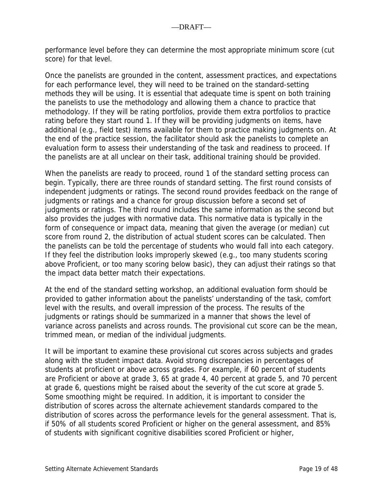performance level before they can determine the most appropriate minimum score (cut score) for that level.

Once the panelists are grounded in the content, assessment practices, and expectations for each performance level, they will need to be trained on the standard-setting methods they will be using. It is essential that adequate time is spent on both training the panelists to use the methodology and allowing them a chance to practice that methodology. If they will be rating portfolios, provide them extra portfolios to practice rating before they start round 1. If they will be providing judgments on items, have additional (e.g., field test) items available for them to practice making judgments on. At the end of the practice session, the facilitator should ask the panelists to complete an evaluation form to assess their understanding of the task and readiness to proceed. If the panelists are at all unclear on their task, additional training should be provided.

When the panelists are ready to proceed, round 1 of the standard setting process can begin. Typically, there are three rounds of standard setting. The first round consists of independent judgments or ratings. The second round provides feedback on the range of judgments or ratings and a chance for group discussion before a second set of judgments or ratings. The third round includes the same information as the second but also provides the judges with normative data. This normative data is typically in the form of consequence or impact data, meaning that given the average (or median) cut score from round 2, the distribution of actual student scores can be calculated. Then the panelists can be told the percentage of students who would fall into each category. If they feel the distribution looks improperly skewed (e.g., too many students scoring above Proficient, or too many scoring below basic), they can adjust their ratings so that the impact data better match their expectations.

At the end of the standard setting workshop, an additional evaluation form should be provided to gather information about the panelists' understanding of the task, comfort level with the results, and overall impression of the process. The results of the judgments or ratings should be summarized in a manner that shows the level of variance across panelists and across rounds. The provisional cut score can be the mean, trimmed mean, or median of the individual judgments.

It will be important to examine these provisional cut scores across subjects and grades along with the student impact data. Avoid strong discrepancies in percentages of students at proficient or above across grades. For example, if 60 percent of students are Proficient or above at grade 3, 65 at grade 4, 40 percent at grade 5, and 70 percent at grade 6, questions might be raised about the severity of the cut score at grade 5. Some smoothing might be required. In addition, it is important to consider the distribution of scores across the alternate achievement standards compared to the distribution of scores across the performance levels for the general assessment. That is, if 50% of all students scored Proficient or higher on the general assessment, and 85% of students with significant cognitive disabilities scored Proficient or higher,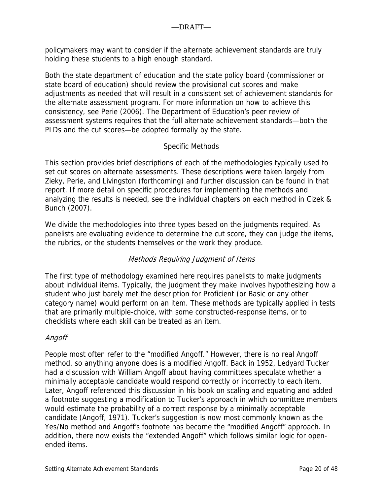policymakers may want to consider if the alternate achievement standards are truly holding these students to a high enough standard.

Both the state department of education and the state policy board (commissioner or state board of education) should review the provisional cut scores and make adjustments as needed that will result in a consistent set of achievement standards for the alternate assessment program. For more information on how to achieve this consistency, see Perie (2006). The Department of Education's peer review of assessment systems requires that the full alternate achievement standards—both the PLDs and the cut scores—be adopted formally by the state.

## Specific Methods

This section provides brief descriptions of each of the methodologies typically used to set cut scores on alternate assessments. These descriptions were taken largely from Zieky, Perie, and Livingston (forthcoming) and further discussion can be found in that report. If more detail on specific procedures for implementing the methods and analyzing the results is needed, see the individual chapters on each method in Cizek & Bunch (2007).

We divide the methodologies into three types based on the judgments required. As panelists are evaluating evidence to determine the cut score, they can judge the items, the rubrics, or the students themselves or the work they produce.

# Methods Requiring Judgment of Items

The first type of methodology examined here requires panelists to make judgments about individual items. Typically, the judgment they make involves hypothesizing how a student who just barely met the description for Proficient (or Basic or any other category name) would perform on an item. These methods are typically applied in tests that are primarily multiple-choice, with some constructed-response items, or to checklists where each skill can be treated as an item.

## Angoff

People most often refer to the "modified Angoff." However, there is no real Angoff method, so anything anyone does is a modified Angoff. Back in 1952, Ledyard Tucker had a discussion with William Angoff about having committees speculate whether a minimally acceptable candidate would respond correctly or incorrectly to each item. Later, Angoff referenced this discussion in his book on scaling and equating and added a footnote suggesting a modification to Tucker's approach in which committee members would estimate the probability of a correct response by a minimally acceptable candidate (Angoff, 1971). Tucker's suggestion is now most commonly known as the Yes/No method and Angoff's footnote has become the "modified Angoff" approach. In addition, there now exists the "extended Angoff" which follows similar logic for openended items.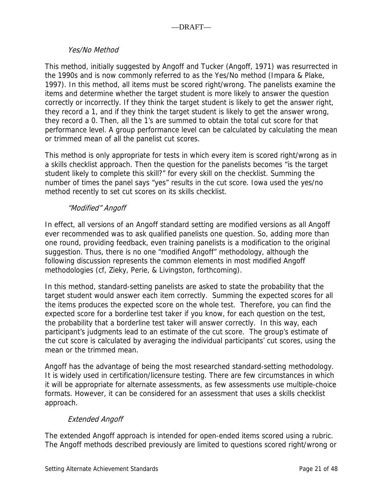### Yes/No Method

This method, initially suggested by Angoff and Tucker (Angoff, 1971) was resurrected in the 1990s and is now commonly referred to as the Yes/No method (Impara & Plake, 1997). In this method, all items must be scored right/wrong. The panelists examine the items and determine whether the target student is more likely to answer the question correctly or incorrectly. If they think the target student is likely to get the answer right, they record a 1, and if they think the target student is likely to get the answer wrong, they record a 0. Then, all the 1's are summed to obtain the total cut score for that performance level. A group performance level can be calculated by calculating the mean or trimmed mean of all the panelist cut scores.

This method is only appropriate for tests in which every item is scored right/wrong as in a skills checklist approach. Then the question for the panelists becomes "is the target student likely to complete this skill?" for every skill on the checklist. Summing the number of times the panel says "yes" results in the cut score. Iowa used the yes/no method recently to set cut scores on its skills checklist.

### "Modified" Angoff

In effect, all versions of an Angoff standard setting are modified versions as all Angoff ever recommended was to ask qualified panelists one question. So, adding more than one round, providing feedback, even training panelists is a modification to the original suggestion. Thus, there is no one "modified Angoff" methodology, although the following discussion represents the common elements in most modified Angoff methodologies (cf, Zieky, Perie, & Livingston, forthcoming).

In this method, standard-setting panelists are asked to state the probability that the target student would answer each item correctly. Summing the expected scores for all the items produces the expected score on the whole test. Therefore, you can find the expected score for a borderline test taker if you know, for each question on the test, the probability that a borderline test taker will answer correctly. In this way, each participant's judgments lead to an estimate of the cut score. The group's estimate of the cut score is calculated by averaging the individual participants' cut scores, using the mean or the trimmed mean.

Angoff has the advantage of being the most researched standard-setting methodology. It is widely used in certification/licensure testing. There are few circumstances in which it will be appropriate for alternate assessments, as few assessments use multiple-choice formats. However, it can be considered for an assessment that uses a skills checklist approach.

## Extended Angoff

The extended Angoff approach is intended for open-ended items scored using a rubric. The Angoff methods described previously are limited to questions scored right/wrong or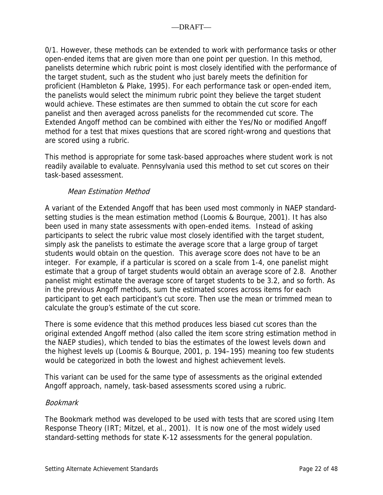0/1. However, these methods can be extended to work with performance tasks or other open-ended items that are given more than one point per question. In this method, panelists determine which rubric point is most closely identified with the performance of the target student, such as the student who just barely meets the definition for proficient (Hambleton & Plake, 1995). For each performance task or open-ended item, the panelists would select the minimum rubric point they believe the target student would achieve. These estimates are then summed to obtain the cut score for each panelist and then averaged across panelists for the recommended cut score. The Extended Angoff method can be combined with either the Yes/No or modified Angoff method for a test that mixes questions that are scored right-wrong and questions that are scored using a rubric.

This method is appropriate for some task-based approaches where student work is not readily available to evaluate. Pennsylvania used this method to set cut scores on their task-based assessment.

## Mean Estimation Method

A variant of the Extended Angoff that has been used most commonly in NAEP standardsetting studies is the mean estimation method (Loomis & Bourque, 2001). It has also been used in many state assessments with open-ended items. Instead of asking participants to select the rubric value most closely identified with the target student, simply ask the panelists to estimate the average score that a large group of target students would obtain on the question. This average score does not have to be an integer. For example, if a particular is scored on a scale from 1-4, one panelist might estimate that a group of target students would obtain an average score of 2.8. Another panelist might estimate the average score of target students to be 3.2, and so forth. As in the previous Angoff methods, sum the estimated scores across items for each participant to get each participant's cut score. Then use the mean or trimmed mean to calculate the group's estimate of the cut score.

There is some evidence that this method produces less biased cut scores than the original extended Angoff method (also called the item score string estimation method in the NAEP studies), which tended to bias the estimates of the lowest levels down and the highest levels up (Loomis & Bourque, 2001, p. 194–195) meaning too few students would be categorized in both the lowest and highest achievement levels.

This variant can be used for the same type of assessments as the original extended Angoff approach, namely, task-based assessments scored using a rubric.

## Bookmark

The Bookmark method was developed to be used with tests that are scored using Item Response Theory (IRT; Mitzel, et al., 2001). It is now one of the most widely used standard-setting methods for state K-12 assessments for the general population.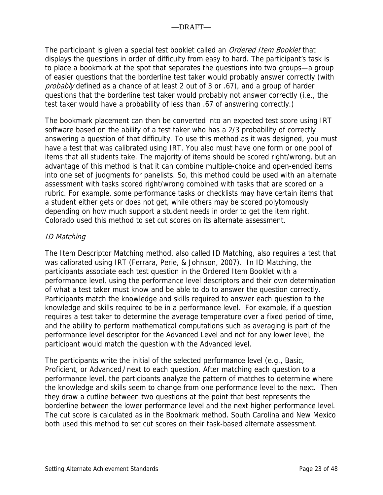The participant is given a special test booklet called an *Ordered Item Booklet* that displays the questions in order of difficulty from easy to hard. The participant's task is to place a bookmark at the spot that separates the questions into two groups—a group of easier questions that the borderline test taker would probably answer correctly (with probably defined as a chance of at least 2 out of 3 or .67), and a group of harder questions that the borderline test taker would probably not answer correctly (i.e., the test taker would have a probability of less than .67 of answering correctly.)

The bookmark placement can then be converted into an expected test score using IRT software based on the ability of a test taker who has a 2/3 probability of correctly answering a question of that difficulty. To use this method as it was designed, you must have a test that was calibrated using IRT. You also must have one form or one pool of items that all students take. The majority of items should be scored right/wrong, but an advantage of this method is that it can combine multiple-choice and open-ended items into one set of judgments for panelists. So, this method could be used with an alternate assessment with tasks scored right/wrong combined with tasks that are scored on a rubric. For example, some performance tasks or checklists may have certain items that a student either gets or does not get, while others may be scored polytomously depending on how much support a student needs in order to get the item right. Colorado used this method to set cut scores on its alternate assessment.

## ID Matching

The Item Descriptor Matching method, also called ID Matching, also requires a test that was calibrated using IRT (Ferrara, Perie, & Johnson, 2007). In ID Matching, the participants associate each test question in the Ordered Item Booklet with a performance level, using the performance level descriptors and their own determination of what a test taker must know and be able to do to answer the question correctly. Participants match the knowledge and skills required to answer each question to the knowledge and skills required to be in a performance level. For example, if a question requires a test taker to determine the average temperature over a fixed period of time, and the ability to perform mathematical computations such as averaging is part of the performance level descriptor for the Advanced Level and not for any lower level, the participant would match the question with the Advanced level.

The participants write the initial of the selected performance level (e.g., Basic, Proficient, or Advanced) next to each question. After matching each question to a performance level, the participants analyze the pattern of matches to determine where the knowledge and skills seem to change from one performance level to the next. Then they draw a cutline between two questions at the point that best represents the borderline between the lower performance level and the next higher performance level. The cut score is calculated as in the Bookmark method. South Carolina and New Mexico both used this method to set cut scores on their task-based alternate assessment.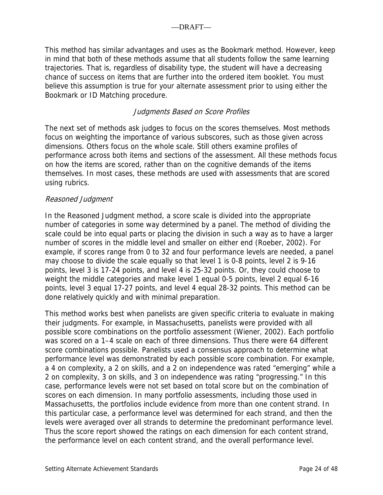This method has similar advantages and uses as the Bookmark method. However, keep in mind that both of these methods assume that all students follow the same learning trajectories. That is, regardless of disability type, the student will have a decreasing chance of success on items that are further into the ordered item booklet. You must believe this assumption is true for your alternate assessment prior to using either the Bookmark or ID Matching procedure.

## Judgments Based on Score Profiles

The next set of methods ask judges to focus on the scores themselves. Most methods focus on weighting the importance of various subscores, such as those given across dimensions. Others focus on the whole scale. Still others examine profiles of performance across both items and sections of the assessment. All these methods focus on how the items are scored, rather than on the cognitive demands of the items themselves. In most cases, these methods are used with assessments that are scored using rubrics.

#### Reasoned Judgment

In the Reasoned Judgment method, a score scale is divided into the appropriate number of categories in some way determined by a panel. The method of dividing the scale could be into equal parts or placing the division in such a way as to have a larger number of scores in the middle level and smaller on either end (Roeber, 2002). For example, if scores range from 0 to 32 and four performance levels are needed, a panel may choose to divide the scale equally so that level 1 is 0-8 points, level 2 is 9-16 points, level 3 is 17-24 points, and level 4 is 25-32 points. Or, they could choose to weight the middle categories and make level 1 equal 0-5 points, level 2 equal 6-16 points, level 3 equal 17-27 points, and level 4 equal 28-32 points. This method can be done relatively quickly and with minimal preparation.

This method works best when panelists are given specific criteria to evaluate in making their judgments. For example, in Massachusetts, panelists were provided with all possible score combinations on the portfolio assessment (Wiener, 2002). Each portfolio was scored on a 1–4 scale on each of three dimensions. Thus there were 64 different score combinations possible. Panelists used a consensus approach to determine what performance level was demonstrated by each possible score combination. For example, a 4 on complexity, a 2 on skills, and a 2 on independence was rated "emerging" while a 2 on complexity, 3 on skills, and 3 on independence was rating "progressing." In this case, performance levels were not set based on total score but on the combination of scores on each dimension. In many portfolio assessments, including those used in Massachusetts, the portfolios include evidence from more than one content strand. In this particular case, a performance level was determined for each strand, and then the levels were averaged over all strands to determine the predominant performance level. Thus the score report showed the ratings on each dimension for each content strand, the performance level on each content strand, and the overall performance level.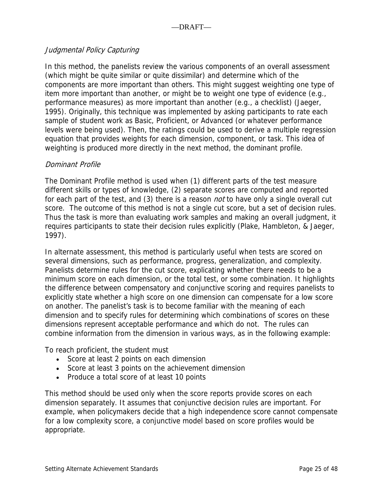## Judgmental Policy Capturing

In this method, the panelists review the various components of an overall assessment (which might be quite similar or quite dissimilar) and determine which of the components are more important than others. This might suggest weighting one type of item more important than another, or might be to weight one type of evidence (e.g., performance measures) as more important than another (e.g., a checklist) (Jaeger, 1995). Originally, this technique was implemented by asking participants to rate each sample of student work as Basic, Proficient, or Advanced (or whatever performance levels were being used). Then, the ratings could be used to derive a multiple regression equation that provides weights for each dimension, component, or task. This idea of weighting is produced more directly in the next method, the dominant profile.

## Dominant Profile

The Dominant Profile method is used when (1) different parts of the test measure different skills or types of knowledge, (2) separate scores are computed and reported for each part of the test, and (3) there is a reason *not* to have only a single overall cut score. The outcome of this method is not a single cut score, but a set of decision rules. Thus the task is more than evaluating work samples and making an overall judgment, it requires participants to state their decision rules explicitly (Plake, Hambleton, & Jaeger, 1997).

In alternate assessment, this method is particularly useful when tests are scored on several dimensions, such as performance, progress, generalization, and complexity. Panelists determine rules for the cut score, explicating whether there needs to be a minimum score on each dimension, or the total test, or some combination. It highlights the difference between compensatory and conjunctive scoring and requires panelists to explicitly state whether a high score on one dimension can compensate for a low score on another. The panelist's task is to become familiar with the meaning of each dimension and to specify rules for determining which combinations of scores on these dimensions represent acceptable performance and which do not. The rules can combine information from the dimension in various ways, as in the following example:

To reach proficient, the student must

- Score at least 2 points on each dimension
- Score at least 3 points on the achievement dimension
- Produce a total score of at least 10 points

This method should be used only when the score reports provide scores on each dimension separately. It assumes that conjunctive decision rules are important. For example, when policymakers decide that a high independence score cannot compensate for a low complexity score, a conjunctive model based on score profiles would be appropriate.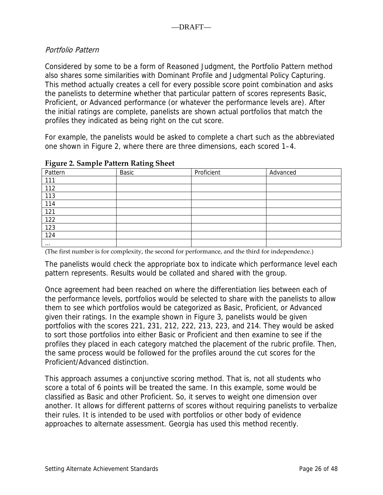## Portfolio Pattern

Considered by some to be a form of Reasoned Judgment, the Portfolio Pattern method also shares some similarities with Dominant Profile and Judgmental Policy Capturing. This method actually creates a cell for every possible score point combination and asks the panelists to determine whether that particular pattern of scores represents Basic, Proficient, or Advanced performance (or whatever the performance levels are). After the initial ratings are complete, panelists are shown actual portfolios that match the profiles they indicated as being right on the cut score.

For example, the panelists would be asked to complete a chart such as the abbreviated one shown in Figure 2, where there are three dimensions, each scored 1–4.

| $\tilde{\phantom{a}}$<br>Pattern | $\tilde{\phantom{a}}$<br>Basic | Proficient | Advanced |
|----------------------------------|--------------------------------|------------|----------|
| 111                              |                                |            |          |
| 112                              |                                |            |          |
| 113                              |                                |            |          |
| 114                              |                                |            |          |
| 121                              |                                |            |          |
| 122                              |                                |            |          |
| 123                              |                                |            |          |
| 124                              |                                |            |          |
| $\cdots$                         |                                |            |          |

#### **Figure 2. Sample Pattern Rating Sheet**

(The first number is for complexity, the second for performance, and the third for independence.)

The panelists would check the appropriate box to indicate which performance level each pattern represents. Results would be collated and shared with the group.

Once agreement had been reached on where the differentiation lies between each of the performance levels, portfolios would be selected to share with the panelists to allow them to see which portfolios would be categorized as Basic, Proficient, or Advanced given their ratings. In the example shown in Figure 3, panelists would be given portfolios with the scores 221, 231, 212, 222, 213, 223, and 214. They would be asked to sort those portfolios into either Basic or Proficient and then examine to see if the profiles they placed in each category matched the placement of the rubric profile. Then, the same process would be followed for the profiles around the cut scores for the Proficient/Advanced distinction.

This approach assumes a conjunctive scoring method. That is, not all students who score a total of 6 points will be treated the same. In this example, some would be classified as Basic and other Proficient. So, it serves to weight one dimension over another. It allows for different patterns of scores without requiring panelists to verbalize their rules. It is intended to be used with portfolios or other body of evidence approaches to alternate assessment. Georgia has used this method recently.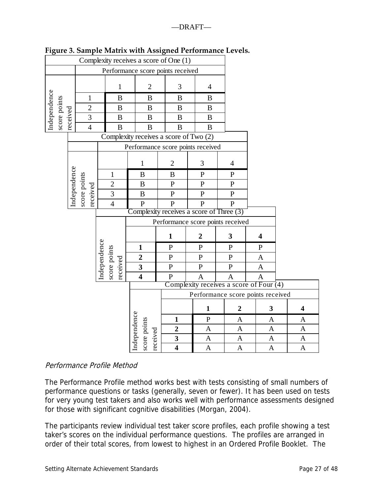|                              | Complexity receives a score of One (1) |                                         |              |                |                                          |                                   |                                   |                |                  |   |                  |   |                       |                         |  |
|------------------------------|----------------------------------------|-----------------------------------------|--------------|----------------|------------------------------------------|-----------------------------------|-----------------------------------|----------------|------------------|---|------------------|---|-----------------------|-------------------------|--|
|                              |                                        | Performance score points received       |              |                |                                          |                                   |                                   |                |                  |   |                  |   |                       |                         |  |
|                              |                                        | $\mathbf{1}$                            |              | $\overline{2}$ |                                          | 3                                 |                                   | $\overline{4}$ |                  |   |                  |   |                       |                         |  |
|                              |                                        | $\mathbf{1}$                            | $\bf{B}$     |                | $\boldsymbol{B}$                         |                                   | $\, {\bf B}$                      |                | B                |   |                  |   |                       |                         |  |
|                              |                                        | $\overline{2}$                          |              | $\bf{B}$       | $\boldsymbol{B}$                         |                                   | B                                 |                | $\bf{B}$         |   |                  |   |                       |                         |  |
| Independence<br>score points | received                               | $\overline{3}$                          |              | $\bf{B}$       | $\, {\bf B}$                             |                                   | $\, {\bf B}$                      |                | $\boldsymbol{B}$ |   |                  |   |                       |                         |  |
|                              |                                        | $\overline{4}$                          |              | $\, {\bf B}$   | B                                        |                                   | B                                 |                | $\mathbf B$      |   |                  |   |                       |                         |  |
|                              |                                        |                                         |              |                | Complexity receives a score of Two (2)   |                                   |                                   |                |                  |   |                  |   |                       |                         |  |
|                              |                                        |                                         |              |                | Performance score points received        |                                   |                                   |                |                  |   |                  |   |                       |                         |  |
|                              |                                        |                                         |              |                | 1                                        |                                   | $\overline{2}$                    |                | 3                |   | $\overline{4}$   |   |                       |                         |  |
|                              | Independence                           |                                         |              | $\mathbf{1}$   | $\boldsymbol{B}$                         |                                   | B                                 |                | ${\bf P}$        |   | $\mathbf{P}$     |   |                       |                         |  |
|                              |                                        |                                         |              | $\overline{2}$ | $\boldsymbol{B}$                         |                                   | $\mathbf{P}$                      |                | $\mathbf P$      |   | ${\bf P}$        |   |                       |                         |  |
|                              |                                        | score points<br>received                |              | 3              | $\, {\bf B}$                             |                                   | ${\bf P}$                         |                | ${\bf P}$        |   | ${\bf P}$        |   |                       |                         |  |
|                              |                                        |                                         |              | $\overline{4}$ | ${\bf P}$                                |                                   | $\mathbf{P}$                      |                | ${\bf P}$        |   | $\mathbf P$      |   |                       |                         |  |
|                              |                                        |                                         |              |                | Complexity receives a score of Three (3) |                                   |                                   |                |                  |   |                  |   |                       |                         |  |
|                              |                                        |                                         |              |                |                                          |                                   | Performance score points received |                |                  |   |                  |   |                       |                         |  |
|                              |                                        |                                         |              |                |                                          | $\mathbf{1}$                      |                                   | $\overline{2}$ |                  | 3 |                  | 4 |                       |                         |  |
|                              |                                        |                                         |              |                | $\mathbf{1}$                             |                                   | $\mathbf P$                       |                | $\mathbf P$      |   | $\mathbf P$      |   | $\mathbf P$           |                         |  |
|                              |                                        |                                         | Independence | score points   | $\overline{2}$                           |                                   | ${\bf P}$                         |                | ${\bf P}$        |   | ${\bf P}$        |   | $\mathbf{A}$          |                         |  |
|                              |                                        |                                         |              | received       | $\overline{\mathbf{3}}$                  |                                   | ${\bf P}$                         |                | ${\bf P}$        |   | ${\bf P}$        |   | $\mathbf{A}$          |                         |  |
|                              |                                        |                                         |              |                | $\overline{4}$                           |                                   | $\overline{P}$                    |                | $\overline{A}$   |   | $\overline{A}$   |   | $\overline{A}$        |                         |  |
|                              |                                        | Complexity receives a score of Four (4) |              |                |                                          |                                   |                                   |                |                  |   |                  |   |                       |                         |  |
|                              |                                        |                                         |              |                |                                          | Performance score points received |                                   |                |                  |   |                  |   |                       |                         |  |
|                              |                                        |                                         |              |                |                                          |                                   |                                   |                | $\mathbf{1}$     |   | $\boldsymbol{2}$ |   | 3                     | $\overline{\mathbf{4}}$ |  |
|                              |                                        |                                         |              |                | Independence                             |                                   | 1                                 |                | $\mathbf P$      |   | A                |   | A                     | A                       |  |
|                              |                                        |                                         |              |                | score points                             |                                   | $\overline{2}$                    |                | $\mathbf{A}$     |   | $\mathbf{A}$     |   | $\mathbf{A}$          | $\mathbf{A}$            |  |
|                              |                                        |                                         |              |                | received                                 |                                   | $\overline{\mathbf{3}}$           |                | $\mathbf{A}$     |   | $\mathbf{A}$     |   | $\boldsymbol{\rm{A}}$ | $\underline{A}$         |  |
|                              |                                        |                                         |              |                |                                          |                                   | $\overline{\bf{4}}$               |                | $\mathbf{A}$     |   | $\mathbf{A}$     |   | $\boldsymbol{A}$      | $\mathbf{A}$            |  |

## **Figure 3. Sample Matrix with Assigned Performance Levels.**

### Performance Profile Method

The Performance Profile method works best with tests consisting of small numbers of performance questions or tasks (generally, seven or fewer). It has been used on tests for very young test takers and also works well with performance assessments designed for those with significant cognitive disabilities (Morgan, 2004).

The participants review individual test taker score profiles, each profile showing a test taker's scores on the individual performance questions. The profiles are arranged in order of their total scores, from lowest to highest in an Ordered Profile Booklet. The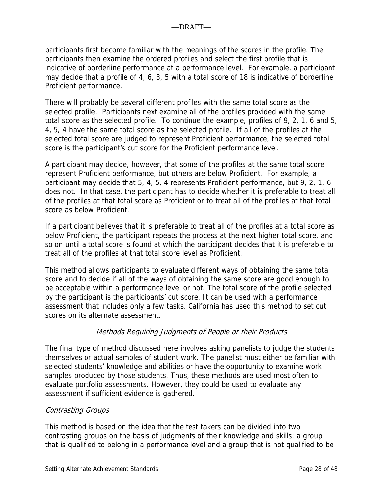participants first become familiar with the meanings of the scores in the profile. The participants then examine the ordered profiles and select the first profile that is indicative of borderline performance at a performance level. For example, a participant may decide that a profile of 4, 6, 3, 5 with a total score of 18 is indicative of borderline Proficient performance.

There will probably be several different profiles with the same total score as the selected profile. Participants next examine all of the profiles provided with the same total score as the selected profile. To continue the example, profiles of 9, 2, 1, 6 and 5, 4, 5, 4 have the same total score as the selected profile. If all of the profiles at the selected total score are judged to represent Proficient performance, the selected total score is the participant's cut score for the Proficient performance level.

A participant may decide, however, that some of the profiles at the same total score represent Proficient performance, but others are below Proficient. For example, a participant may decide that 5, 4, 5, 4 represents Proficient performance, but 9, 2, 1, 6 does not. In that case, the participant has to decide whether it is preferable to treat all of the profiles at that total score as Proficient or to treat all of the profiles at that total score as below Proficient.

If a participant believes that it is preferable to treat all of the profiles at a total score as below Proficient, the participant repeats the process at the next higher total score, and so on until a total score is found at which the participant decides that it is preferable to treat all of the profiles at that total score level as Proficient.

This method allows participants to evaluate different ways of obtaining the same total score and to decide if all of the ways of obtaining the same score are good enough to be acceptable within a performance level or not. The total score of the profile selected by the participant is the participants' cut score. It can be used with a performance assessment that includes only a few tasks. California has used this method to set cut scores on its alternate assessment.

## Methods Requiring Judgments of People or their Products

The final type of method discussed here involves asking panelists to judge the students themselves or actual samples of student work. The panelist must either be familiar with selected students' knowledge and abilities or have the opportunity to examine work samples produced by those students. Thus, these methods are used most often to evaluate portfolio assessments. However, they could be used to evaluate any assessment if sufficient evidence is gathered.

## Contrasting Groups

This method is based on the idea that the test takers can be divided into two contrasting groups on the basis of judgments of their knowledge and skills: a group that is qualified to belong in a performance level and a group that is not qualified to be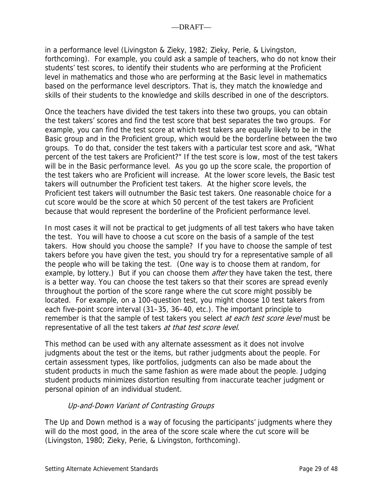in a performance level (Livingston & Zieky, 1982; Zieky, Perie, & Livingston, forthcoming). For example, you could ask a sample of teachers, who do not know their students' test scores, to identify their students who are performing at the Proficient level in mathematics and those who are performing at the Basic level in mathematics based on the performance level descriptors. That is, they match the knowledge and skills of their students to the knowledge and skills described in one of the descriptors.

Once the teachers have divided the test takers into these two groups, you can obtain the test takers' scores and find the test score that best separates the two groups. For example, you can find the test score at which test takers are equally likely to be in the Basic group and in the Proficient group, which would be the borderline between the two groups. To do that, consider the test takers with a particular test score and ask, "What percent of the test takers are Proficient?" If the test score is low, most of the test takers will be in the Basic performance level. As you go up the score scale, the proportion of the test takers who are Proficient will increase. At the lower score levels, the Basic test takers will outnumber the Proficient test takers. At the higher score levels, the Proficient test takers will outnumber the Basic test takers. One reasonable choice for a cut score would be the score at which 50 percent of the test takers are Proficient because that would represent the borderline of the Proficient performance level.

In most cases it will not be practical to get judgments of all test takers who have taken the test. You will have to choose a cut score on the basis of a sample of the test takers. How should you choose the sample? If you have to choose the sample of test takers before you have given the test, you should try for a representative sample of all the people who will be taking the test. (One way is to choose them at random, for example, by lottery.) But if you can choose them *after* they have taken the test, there is a better way. You can choose the test takers so that their scores are spread evenly throughout the portion of the score range where the cut score might possibly be located. For example, on a 100-question test, you might choose 10 test takers from each five-point score interval (31–35, 36–40, etc.). The important principle to remember is that the sample of test takers you select at each test score level must be representative of all the test takers at that test score level.

This method can be used with any alternate assessment as it does not involve judgments about the test or the items, but rather judgments about the people. For certain assessment types, like portfolios, judgments can also be made about the student products in much the same fashion as were made about the people. Judging student products minimizes distortion resulting from inaccurate teacher judgment or personal opinion of an individual student.

## Up-and-Down Variant of Contrasting Groups

The Up and Down method is a way of focusing the participants' judgments where they will do the most good, in the area of the score scale where the cut score will be (Livingston, 1980; Zieky, Perie, & Livingston, forthcoming).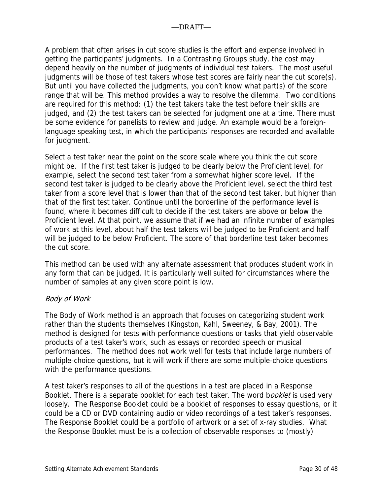A problem that often arises in cut score studies is the effort and expense involved in getting the participants' judgments. In a Contrasting Groups study, the cost may depend heavily on the number of judgments of individual test takers. The most useful judgments will be those of test takers whose test scores are fairly near the cut score(s). But until you have collected the judgments, you don't know what part(s) of the score range that will be. This method provides a way to resolve the dilemma. Two conditions are required for this method: (1) the test takers take the test before their skills are judged, and (2) the test takers can be selected for judgment one at a time. There must be some evidence for panelists to review and judge. An example would be a foreignlanguage speaking test, in which the participants' responses are recorded and available for judgment.

Select a test taker near the point on the score scale where you think the cut score might be. If the first test taker is judged to be clearly below the Proficient level, for example, select the second test taker from a somewhat higher score level. If the second test taker is judged to be clearly above the Proficient level, select the third test taker from a score level that is lower than that of the second test taker, but higher than that of the first test taker. Continue until the borderline of the performance level is found, where it becomes difficult to decide if the test takers are above or below the Proficient level. At that point, we assume that if we had an infinite number of examples of work at this level, about half the test takers will be judged to be Proficient and half will be judged to be below Proficient. The score of that borderline test taker becomes the cut score.

This method can be used with any alternate assessment that produces student work in any form that can be judged. It is particularly well suited for circumstances where the number of samples at any given score point is low.

## Body of Work

The Body of Work method is an approach that focuses on categorizing student work rather than the students themselves (Kingston, Kahl, Sweeney, & Bay, 2001). The method is designed for tests with performance questions or tasks that yield observable products of a test taker's work, such as essays or recorded speech or musical performances. The method does not work well for tests that include large numbers of multiple-choice questions, but it will work if there are some multiple-choice questions with the performance questions.

A test taker's responses to all of the questions in a test are placed in a Response Booklet. There is a separate booklet for each test taker. The word booklet is used very loosely. The Response Booklet could be a booklet of responses to essay questions, or it could be a CD or DVD containing audio or video recordings of a test taker's responses. The Response Booklet could be a portfolio of artwork or a set of x-ray studies. What the Response Booklet must be is a collection of observable responses to (mostly)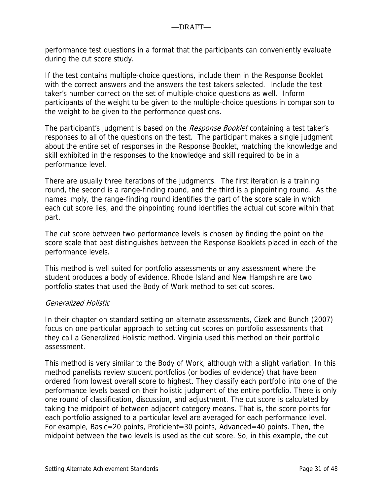performance test questions in a format that the participants can conveniently evaluate during the cut score study.

If the test contains multiple-choice questions, include them in the Response Booklet with the correct answers and the answers the test takers selected. Include the test taker's number correct on the set of multiple-choice questions as well. Inform participants of the weight to be given to the multiple-choice questions in comparison to the weight to be given to the performance questions.

The participant's judgment is based on the *Response Booklet* containing a test taker's responses to all of the questions on the test. The participant makes a single judgment about the entire set of responses in the Response Booklet, matching the knowledge and skill exhibited in the responses to the knowledge and skill required to be in a performance level.

There are usually three iterations of the judgments. The first iteration is a training round, the second is a range-finding round, and the third is a pinpointing round. As the names imply, the range-finding round identifies the part of the score scale in which each cut score lies, and the pinpointing round identifies the actual cut score within that part.

The cut score between two performance levels is chosen by finding the point on the score scale that best distinguishes between the Response Booklets placed in each of the performance levels.

This method is well suited for portfolio assessments or any assessment where the student produces a body of evidence. Rhode Island and New Hampshire are two portfolio states that used the Body of Work method to set cut scores.

## Generalized Holistic

In their chapter on standard setting on alternate assessments, Cizek and Bunch (2007) focus on one particular approach to setting cut scores on portfolio assessments that they call a Generalized Holistic method. Virginia used this method on their portfolio assessment.

This method is very similar to the Body of Work, although with a slight variation. In this method panelists review student portfolios (or bodies of evidence) that have been ordered from lowest overall score to highest. They classify each portfolio into one of the performance levels based on their holistic judgment of the entire portfolio. There is only one round of classification, discussion, and adjustment. The cut score is calculated by taking the midpoint of between adjacent category means. That is, the score points for each portfolio assigned to a particular level are averaged for each performance level. For example, Basic=20 points, Proficient=30 points, Advanced=40 points. Then, the midpoint between the two levels is used as the cut score. So, in this example, the cut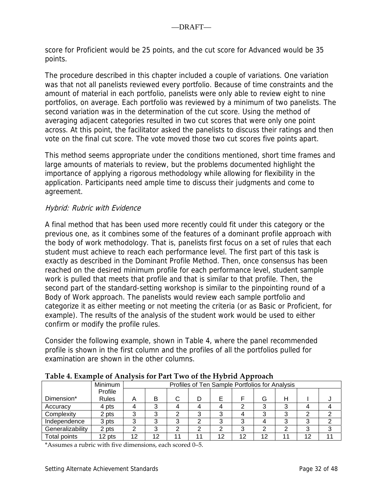score for Proficient would be 25 points, and the cut score for Advanced would be 35 points.

The procedure described in this chapter included a couple of variations. One variation was that not all panelists reviewed every portfolio. Because of time constraints and the amount of material in each portfolio, panelists were only able to review eight to nine portfolios, on average. Each portfolio was reviewed by a minimum of two panelists. The second variation was in the determination of the cut score. Using the method of averaging adjacent categories resulted in two cut scores that were only one point across. At this point, the facilitator asked the panelists to discuss their ratings and then vote on the final cut score. The vote moved those two cut scores five points apart.

This method seems appropriate under the conditions mentioned, short time frames and large amounts of materials to review, but the problems documented highlight the importance of applying a rigorous methodology while allowing for flexibility in the application. Participants need ample time to discuss their judgments and come to agreement.

### Hybrid: Rubric with Evidence

A final method that has been used more recently could fit under this category or the previous one, as it combines some of the features of a dominant profile approach with the body of work methodology. That is, panelists first focus on a set of rules that each student must achieve to reach each performance level. The first part of this task is exactly as described in the Dominant Profile Method. Then, once consensus has been reached on the desired minimum profile for each performance level, student sample work is pulled that meets that profile and that is similar to that profile. Then, the second part of the standard-setting workshop is similar to the pinpointing round of a Body of Work approach. The panelists would review each sample portfolio and categorize it as either meeting or not meeting the criteria (or as Basic or Proficient, for example). The results of the analysis of the student work would be used to either confirm or modify the profile rules.

Consider the following example, shown in Table 4, where the panel recommended profile is shown in the first column and the profiles of all the portfolios pulled for examination are shown in the other columns.

| Tubic +. Example of Amarysis for Fait Two of the Hyphy Approach |              |    |                                                |    |  |    |    |    |  |    |  |  |  |
|-----------------------------------------------------------------|--------------|----|------------------------------------------------|----|--|----|----|----|--|----|--|--|--|
|                                                                 | Minimum      |    | Profiles of Ten Sample Portfolios for Analysis |    |  |    |    |    |  |    |  |  |  |
|                                                                 | Profile      |    |                                                |    |  |    |    |    |  |    |  |  |  |
| Dimension*                                                      | <b>Rules</b> |    | в                                              | C  |  |    |    | G  |  |    |  |  |  |
| Accuracy                                                        | 4 pts        |    | ິ                                              |    |  |    | ⌒  | ົ  |  |    |  |  |  |
| Complexity                                                      | 2 pts        |    |                                                |    |  |    |    |    |  |    |  |  |  |
| Independence                                                    | 3 pts        | ົ  | ⌒                                              |    |  |    | っ  |    |  |    |  |  |  |
| Generalizability                                                | 2 pts        |    | ົ                                              |    |  |    | ົ  |    |  |    |  |  |  |
| Total points                                                    | 12 pts       | 12 | 12                                             | 11 |  | 12 | 12 | 12 |  | 12 |  |  |  |

**Table 4. Example of Analysis for Part Two of the Hybrid Approach**

\*Assumes a rubric with five dimensions, each scored 0–5.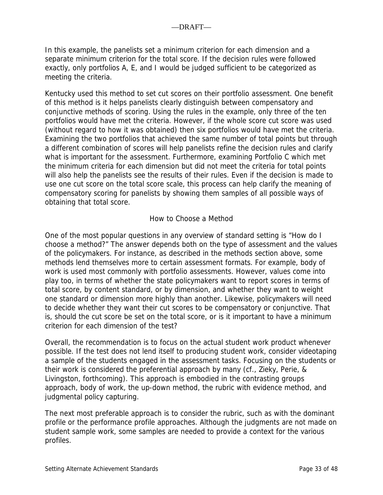In this example, the panelists set a minimum criterion for each dimension and a separate minimum criterion for the total score. If the decision rules were followed exactly, only portfolios A, E, and I would be judged sufficient to be categorized as meeting the criteria.

Kentucky used this method to set cut scores on their portfolio assessment. One benefit of this method is it helps panelists clearly distinguish between compensatory and conjunctive methods of scoring. Using the rules in the example, only three of the ten portfolios would have met the criteria. However, if the whole score cut score was used (without regard to how it was obtained) then six portfolios would have met the criteria. Examining the two portfolios that achieved the same number of total points but through a different combination of scores will help panelists refine the decision rules and clarify what is important for the assessment. Furthermore, examining Portfolio C which met the minimum criteria for each dimension but did not meet the criteria for total points will also help the panelists see the results of their rules. Even if the decision is made to use one cut score on the total score scale, this process can help clarify the meaning of compensatory scoring for panelists by showing them samples of all possible ways of obtaining that total score.

### How to Choose a Method

One of the most popular questions in any overview of standard setting is "How do I choose a method?" The answer depends both on the type of assessment and the values of the policymakers. For instance, as described in the methods section above, some methods lend themselves more to certain assessment formats. For example, body of work is used most commonly with portfolio assessments. However, values come into play too, in terms of whether the state policymakers want to report scores in terms of total score, by content standard, or by dimension, and whether they want to weight one standard or dimension more highly than another. Likewise, policymakers will need to decide whether they want their cut scores to be compensatory or conjunctive. That is, should the cut score be set on the total score, or is it important to have a minimum criterion for each dimension of the test?

Overall, the recommendation is to focus on the actual student work product whenever possible. If the test does not lend itself to producing student work, consider videotaping a sample of the students engaged in the assessment tasks. Focusing on the students or their work is considered the preferential approach by many (cf., Zieky, Perie, & Livingston, forthcoming). This approach is embodied in the contrasting groups approach, body of work, the up-down method, the rubric with evidence method, and judgmental policy capturing.

The next most preferable approach is to consider the rubric, such as with the dominant profile or the performance profile approaches. Although the judgments are not made on student sample work, some samples are needed to provide a context for the various profiles.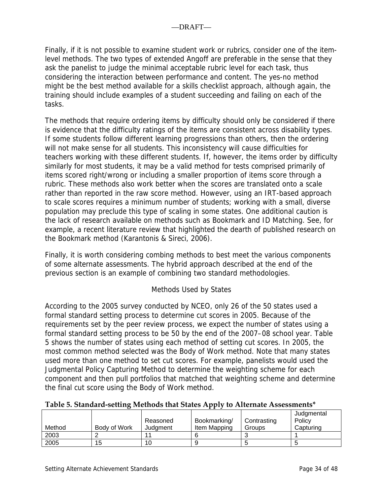Finally, if it is not possible to examine student work or rubrics, consider one of the itemlevel methods. The two types of extended Angoff are preferable in the sense that they ask the panelist to judge the minimal acceptable rubric level for each task, thus considering the interaction between performance and content. The yes-no method might be the best method available for a skills checklist approach, although again, the training should include examples of a student succeeding and failing on each of the tasks.

The methods that require ordering items by difficulty should only be considered if there is evidence that the difficulty ratings of the items are consistent across disability types. If some students follow different learning progressions than others, then the ordering will not make sense for all students. This inconsistency will cause difficulties for teachers working with these different students. If, however, the items order by difficulty similarly for most students, it may be a valid method for tests comprised primarily of items scored right/wrong or including a smaller proportion of items score through a rubric. These methods also work better when the scores are translated onto a scale rather than reported in the raw score method. However, using an IRT-based approach to scale scores requires a minimum number of students; working with a small, diverse population may preclude this type of scaling in some states. One additional caution is the lack of research available on methods such as Bookmark and ID Matching. See, for example, a recent literature review that highlighted the dearth of published research on the Bookmark method (Karantonis & Sireci, 2006).

Finally, it is worth considering combing methods to best meet the various components of some alternate assessments. The hybrid approach described at the end of the previous section is an example of combining two standard methodologies.

## Methods Used by States

According to the 2005 survey conducted by NCEO, only 26 of the 50 states used a formal standard setting process to determine cut scores in 2005. Because of the requirements set by the peer review process, we expect the number of states using a formal standard setting process to be 50 by the end of the 2007–08 school year. Table 5 shows the number of states using each method of setting cut scores. In 2005, the most common method selected was the Body of Work method. Note that many states used more than one method to set cut scores. For example, panelists would used the Judgmental Policy Capturing Method to determine the weighting scheme for each component and then pull portfolios that matched that weighting scheme and determine the final cut score using the Body of Work method.

#### **Table 5. Standard‐setting Methods that States Apply to Alternate Assessments\***

|        |              |          |              |             | Judgmental |
|--------|--------------|----------|--------------|-------------|------------|
|        |              | Reasoned | Bookmarking/ | Contrasting | Policy     |
| Method | Body of Work | Judament | Item Mapping | Groups      | Capturing  |
| 2003   |              |          |              |             |            |
| 2005   | 15           | 10       |              |             |            |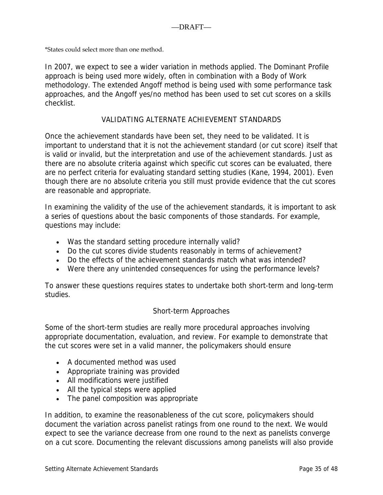\*States could select more than one method.

In 2007, we expect to see a wider variation in methods applied. The Dominant Profile approach is being used more widely, often in combination with a Body of Work methodology. The extended Angoff method is being used with some performance task approaches, and the Angoff yes/no method has been used to set cut scores on a skills checklist.

### VALIDATING ALTERNATE ACHIEVEMENT STANDARDS

Once the achievement standards have been set, they need to be validated. It is important to understand that it is not the achievement standard (or cut score) itself that is valid or invalid, but the interpretation and use of the achievement standards. Just as there are no absolute criteria against which specific cut scores can be evaluated, there are no perfect criteria for evaluating standard setting studies (Kane, 1994, 2001). Even though there are no absolute criteria you still must provide evidence that the cut scores are reasonable and appropriate.

In examining the validity of the use of the achievement standards, it is important to ask a series of questions about the basic components of those standards. For example, questions may include:

- Was the standard setting procedure internally valid?
- Do the cut scores divide students reasonably in terms of achievement?
- Do the effects of the achievement standards match what was intended?
- Were there any unintended consequences for using the performance levels?

To answer these questions requires states to undertake both short-term and long-term studies.

### Short-term Approaches

Some of the short-term studies are really more procedural approaches involving appropriate documentation, evaluation, and review. For example to demonstrate that the cut scores were set in a valid manner, the policymakers should ensure

- A documented method was used
- Appropriate training was provided
- All modifications were justified
- All the typical steps were applied
- The panel composition was appropriate

In addition, to examine the reasonableness of the cut score, policymakers should document the variation across panelist ratings from one round to the next. We would expect to see the variance decrease from one round to the next as panelists converge on a cut score. Documenting the relevant discussions among panelists will also provide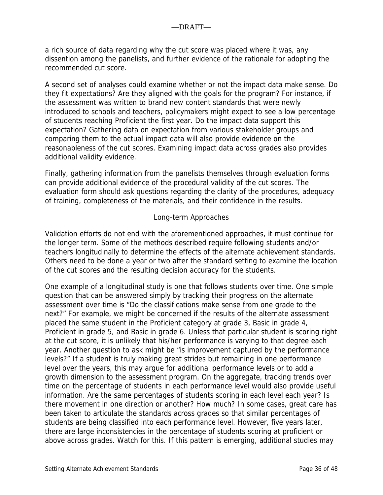a rich source of data regarding why the cut score was placed where it was, any dissention among the panelists, and further evidence of the rationale for adopting the recommended cut score.

A second set of analyses could examine whether or not the impact data make sense. Do they fit expectations? Are they aligned with the goals for the program? For instance, if the assessment was written to brand new content standards that were newly introduced to schools and teachers, policymakers might expect to see a low percentage of students reaching Proficient the first year. Do the impact data support this expectation? Gathering data on expectation from various stakeholder groups and comparing them to the actual impact data will also provide evidence on the reasonableness of the cut scores. Examining impact data across grades also provides additional validity evidence.

Finally, gathering information from the panelists themselves through evaluation forms can provide additional evidence of the procedural validity of the cut scores. The evaluation form should ask questions regarding the clarity of the procedures, adequacy of training, completeness of the materials, and their confidence in the results.

#### Long-term Approaches

Validation efforts do not end with the aforementioned approaches, it must continue for the longer term. Some of the methods described require following students and/or teachers longitudinally to determine the effects of the alternate achievement standards. Others need to be done a year or two after the standard setting to examine the location of the cut scores and the resulting decision accuracy for the students.

One example of a longitudinal study is one that follows students over time. One simple question that can be answered simply by tracking their progress on the alternate assessment over time is "Do the classifications make sense from one grade to the next?" For example, we might be concerned if the results of the alternate assessment placed the same student in the Proficient category at grade 3, Basic in grade 4, Proficient in grade 5, and Basic in grade 6. Unless that particular student is scoring right at the cut score, it is unlikely that his/her performance is varying to that degree each year. Another question to ask might be "is improvement captured by the performance levels?" If a student is truly making great strides but remaining in one performance level over the years, this may argue for additional performance levels or to add a growth dimension to the assessment program. On the aggregate, tracking trends over time on the percentage of students in each performance level would also provide useful information. Are the same percentages of students scoring in each level each year? Is there movement in one direction or another? How much? In some cases, great care has been taken to articulate the standards across grades so that similar percentages of students are being classified into each performance level. However, five years later, there are large inconsistencies in the percentage of students scoring at proficient or above across grades. Watch for this. If this pattern is emerging, additional studies may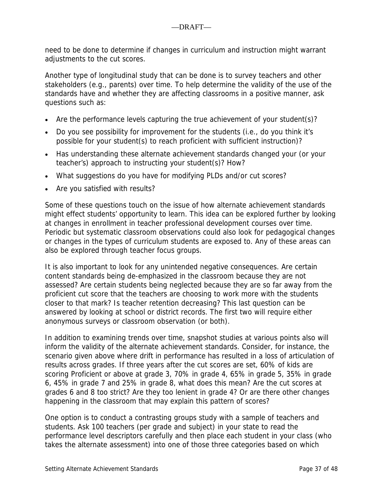need to be done to determine if changes in curriculum and instruction might warrant adjustments to the cut scores.

Another type of longitudinal study that can be done is to survey teachers and other stakeholders (e.g., parents) over time. To help determine the validity of the use of the standards have and whether they are affecting classrooms in a positive manner, ask questions such as:

- Are the performance levels capturing the true achievement of your student(s)?
- Do you see possibility for improvement for the students (i.e., do you think it's possible for your student(s) to reach proficient with sufficient instruction)?
- Has understanding these alternate achievement standards changed your (or your teacher's) approach to instructing your student(s)? How?
- What suggestions do you have for modifying PLDs and/or cut scores?
- Are you satisfied with results?

Some of these questions touch on the issue of how alternate achievement standards might effect students' opportunity to learn. This idea can be explored further by looking at changes in enrollment in teacher professional development courses over time. Periodic but systematic classroom observations could also look for pedagogical changes or changes in the types of curriculum students are exposed to. Any of these areas can also be explored through teacher focus groups.

It is also important to look for any unintended negative consequences. Are certain content standards being de-emphasized in the classroom because they are not assessed? Are certain students being neglected because they are so far away from the proficient cut score that the teachers are choosing to work more with the students closer to that mark? Is teacher retention decreasing? This last question can be answered by looking at school or district records. The first two will require either anonymous surveys or classroom observation (or both).

In addition to examining trends over time, snapshot studies at various points also will inform the validity of the alternate achievement standards. Consider, for instance, the scenario given above where drift in performance has resulted in a loss of articulation of results across grades. If three years after the cut scores are set, 60% of kids are scoring Proficient or above at grade 3, 70% in grade 4, 65% in grade 5, 35% in grade 6, 45% in grade 7 and 25% in grade 8, what does this mean? Are the cut scores at grades 6 and 8 too strict? Are they too lenient in grade 4? Or are there other changes happening in the classroom that may explain this pattern of scores?

One option is to conduct a contrasting groups study with a sample of teachers and students. Ask 100 teachers (per grade and subject) in your state to read the performance level descriptors carefully and then place each student in your class (who takes the alternate assessment) into one of those three categories based on which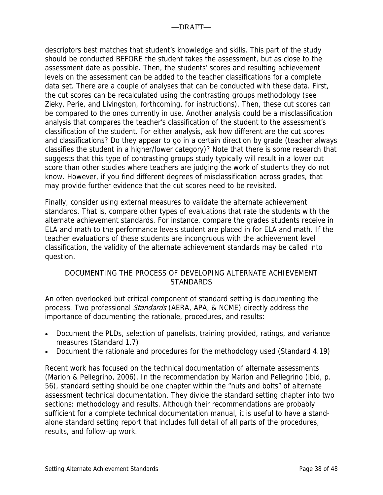descriptors best matches that student's knowledge and skills. This part of the study should be conducted BEFORE the student takes the assessment, but as close to the assessment date as possible. Then, the students' scores and resulting achievement levels on the assessment can be added to the teacher classifications for a complete data set. There are a couple of analyses that can be conducted with these data. First, the cut scores can be recalculated using the contrasting groups methodology (see Zieky, Perie, and Livingston, forthcoming, for instructions). Then, these cut scores can be compared to the ones currently in use. Another analysis could be a misclassification analysis that compares the teacher's classification of the student to the assessment's classification of the student. For either analysis, ask how different are the cut scores and classifications? Do they appear to go in a certain direction by grade (teacher always classifies the student in a higher/lower category)? Note that there is some research that suggests that this type of contrasting groups study typically will result in a lower cut score than other studies where teachers are judging the work of students they do not know. However, if you find different degrees of misclassification across grades, that may provide further evidence that the cut scores need to be revisited.

Finally, consider using external measures to validate the alternate achievement standards. That is, compare other types of evaluations that rate the students with the alternate achievement standards. For instance, compare the grades students receive in ELA and math to the performance levels student are placed in for ELA and math. If the teacher evaluations of these students are incongruous with the achievement level classification, the validity of the alternate achievement standards may be called into question.

## DOCUMENTING THE PROCESS OF DEVELOPING ALTERNATE ACHIEVEMENT STANDARDS

An often overlooked but critical component of standard setting is documenting the process. Two professional *Standards* (AERA, APA, & NCME) directly address the importance of documenting the rationale, procedures, and results:

- Document the PLDs, selection of panelists, training provided, ratings, and variance measures (Standard 1.7)
- Document the rationale and procedures for the methodology used (Standard 4.19)

Recent work has focused on the technical documentation of alternate assessments (Marion & Pellegrino, 2006). In the recommendation by Marion and Pellegrino (ibid, p. 56), standard setting should be one chapter within the "nuts and bolts" of alternate assessment technical documentation. They divide the standard setting chapter into two sections: methodology and results. Although their recommendations are probably sufficient for a complete technical documentation manual, it is useful to have a standalone standard setting report that includes full detail of all parts of the procedures, results, and follow-up work.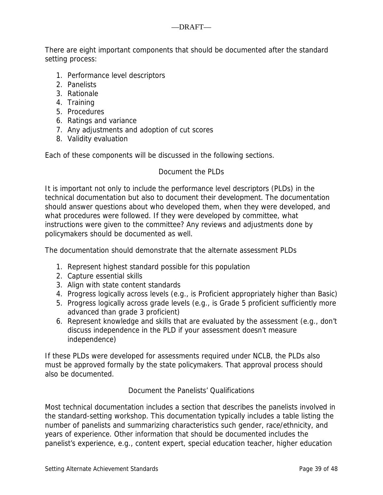There are eight important components that should be documented after the standard setting process:

- 1. Performance level descriptors
- 2. Panelists
- 3. Rationale
- 4. Training
- 5. Procedures
- 6. Ratings and variance
- 7. Any adjustments and adoption of cut scores
- 8. Validity evaluation

Each of these components will be discussed in the following sections.

## Document the PLDs.

It is important not only to include the performance level descriptors (PLDs) in the technical documentation but also to document their development. The documentation should answer questions about who developed them, when they were developed, and what procedures were followed. If they were developed by committee, what instructions were given to the committee? Any reviews and adjustments done by policymakers should be documented as well.

The documentation should demonstrate that the alternate assessment PLDs

- 1. Represent highest standard possible for this population
- 2. Capture essential skills
- 3. Align with state content standards
- 4. Progress logically across levels (e.g., is Proficient appropriately higher than Basic)
- 5. Progress logically across grade levels (e.g., is Grade 5 proficient sufficiently more advanced than grade 3 proficient)
- 6. Represent knowledge and skills that are evaluated by the assessment (e.g., don't discuss independence in the PLD if your assessment doesn't measure independence)

If these PLDs were developed for assessments required under NCLB, the PLDs also must be approved formally by the state policymakers. That approval process should also be documented.

Document the Panelists' Qualifications

Most technical documentation includes a section that describes the panelists involved in the standard-setting workshop. This documentation typically includes a table listing the number of panelists and summarizing characteristics such gender, race/ethnicity, and years of experience. Other information that should be documented includes the panelist's experience, e.g., content expert, special education teacher, higher education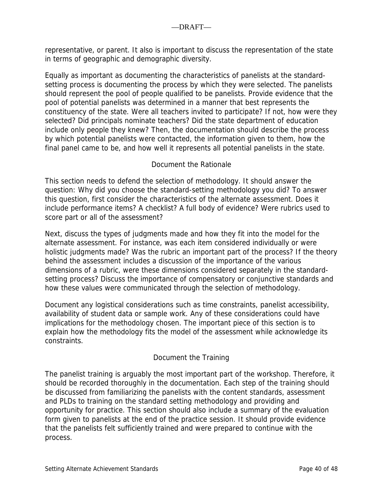representative, or parent. It also is important to discuss the representation of the state in terms of geographic and demographic diversity.

Equally as important as documenting the characteristics of panelists at the standardsetting process is documenting the process by which they were selected. The panelists should represent the pool of people qualified to be panelists. Provide evidence that the pool of potential panelists was determined in a manner that best represents the constituency of the state. Were all teachers invited to participate? If not, how were they selected? Did principals nominate teachers? Did the state department of education include only people they knew? Then, the documentation should describe the process by which potential panelists were contacted, the information given to them, how the final panel came to be, and how well it represents all potential panelists in the state.

## Document the Rationale

This section needs to defend the selection of methodology. It should answer the question: Why did you choose the standard-setting methodology you did? To answer this question, first consider the characteristics of the alternate assessment. Does it include performance items? A checklist? A full body of evidence? Were rubrics used to score part or all of the assessment?

Next, discuss the types of judgments made and how they fit into the model for the alternate assessment. For instance, was each item considered individually or were holistic judgments made? Was the rubric an important part of the process? If the theory behind the assessment includes a discussion of the importance of the various dimensions of a rubric, were these dimensions considered separately in the standardsetting process? Discuss the importance of compensatory or conjunctive standards and how these values were communicated through the selection of methodology.

Document any logistical considerations such as time constraints, panelist accessibility, availability of student data or sample work. Any of these considerations could have implications for the methodology chosen. The important piece of this section is to explain how the methodology fits the model of the assessment while acknowledge its constraints.

## Document the Training

The panelist training is arguably the most important part of the workshop. Therefore, it should be recorded thoroughly in the documentation. Each step of the training should be discussed from familiarizing the panelists with the content standards, assessment and PLDs to training on the standard setting methodology and providing and opportunity for practice. This section should also include a summary of the evaluation form given to panelists at the end of the practice session. It should provide evidence that the panelists felt sufficiently trained and were prepared to continue with the process.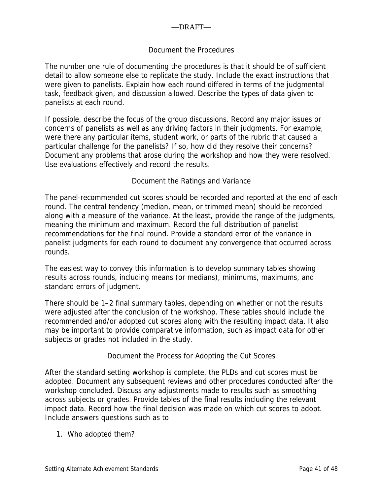## Document the Procedures

The number one rule of documenting the procedures is that it should be of sufficient detail to allow someone else to replicate the study. Include the exact instructions that were given to panelists. Explain how each round differed in terms of the judgmental task, feedback given, and discussion allowed. Describe the types of data given to panelists at each round.

If possible, describe the focus of the group discussions. Record any major issues or concerns of panelists as well as any driving factors in their judgments. For example, were there any particular items, student work, or parts of the rubric that caused a particular challenge for the panelists? If so, how did they resolve their concerns? Document any problems that arose during the workshop and how they were resolved. Use evaluations effectively and record the results.

## Document the Ratings and Variance

The panel-recommended cut scores should be recorded and reported at the end of each round. The central tendency (median, mean, or trimmed mean) should be recorded along with a measure of the variance. At the least, provide the range of the judgments, meaning the minimum and maximum. Record the full distribution of panelist recommendations for the final round. Provide a standard error of the variance in panelist judgments for each round to document any convergence that occurred across rounds.

The easiest way to convey this information is to develop summary tables showing results across rounds, including means (or medians), minimums, maximums, and standard errors of judgment.

There should be 1–2 final summary tables, depending on whether or not the results were adjusted after the conclusion of the workshop. These tables should include the recommended and/or adopted cut scores along with the resulting impact data. It also may be important to provide comparative information, such as impact data for other subjects or grades not included in the study.

### Document the Process for Adopting the Cut Scores

After the standard setting workshop is complete, the PLDs and cut scores must be adopted. Document any subsequent reviews and other procedures conducted after the workshop concluded. Discuss any adjustments made to results such as smoothing across subjects or grades. Provide tables of the final results including the relevant impact data. Record how the final decision was made on which cut scores to adopt. Include answers questions such as to

1. Who adopted them?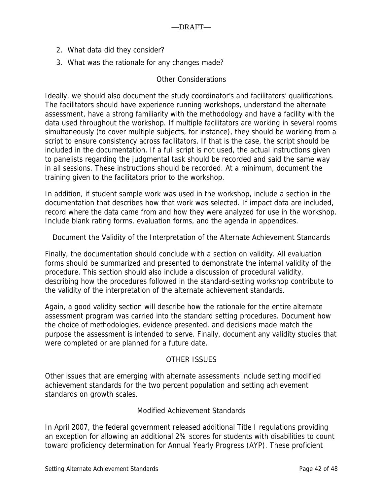- 2. What data did they consider?
- 3. What was the rationale for any changes made?

### Other Considerations

Ideally, we should also document the study coordinator's and facilitators' qualifications. The facilitators should have experience running workshops, understand the alternate assessment, have a strong familiarity with the methodology and have a facility with the data used throughout the workshop. If multiple facilitators are working in several rooms simultaneously (to cover multiple subjects, for instance), they should be working from a script to ensure consistency across facilitators. If that is the case, the script should be included in the documentation. If a full script is not used, the actual instructions given to panelists regarding the judgmental task should be recorded and said the same way in all sessions. These instructions should be recorded. At a minimum, document the training given to the facilitators prior to the workshop.

In addition, if student sample work was used in the workshop, include a section in the documentation that describes how that work was selected. If impact data are included, record where the data came from and how they were analyzed for use in the workshop. Include blank rating forms, evaluation forms, and the agenda in appendices.

Document the Validity of the Interpretation of the Alternate Achievement Standards

Finally, the documentation should conclude with a section on validity. All evaluation forms should be summarized and presented to demonstrate the internal validity of the procedure. This section should also include a discussion of procedural validity, describing how the procedures followed in the standard-setting workshop contribute to the validity of the interpretation of the alternate achievement standards.

Again, a good validity section will describe how the rationale for the entire alternate assessment program was carried into the standard setting procedures. Document how the choice of methodologies, evidence presented, and decisions made match the purpose the assessment is intended to serve. Finally, document any validity studies that were completed or are planned for a future date.

### OTHER ISSUES

Other issues that are emerging with alternate assessments include setting modified achievement standards for the two percent population and setting achievement standards on growth scales.

### Modified Achievement Standards

In April 2007, the federal government released additional Title I regulations providing an exception for allowing an additional 2% scores for students with disabilities to count toward proficiency determination for Annual Yearly Progress (AYP). These proficient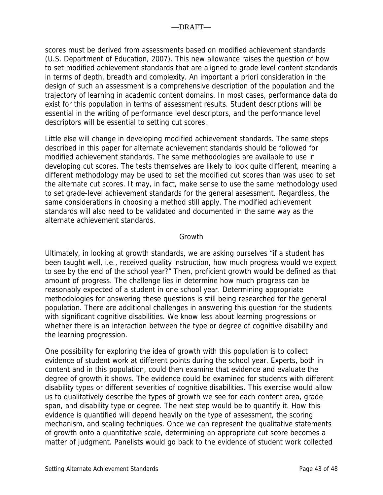scores must be derived from assessments based on modified achievement standards (U.S. Department of Education, 2007). This new allowance raises the question of how to set modified achievement standards that are aligned to grade level content standards in terms of depth, breadth and complexity. An important a priori consideration in the design of such an assessment is a comprehensive description of the population and the trajectory of learning in academic content domains. In most cases, performance data do exist for this population in terms of assessment results. Student descriptions will be essential in the writing of performance level descriptors, and the performance level descriptors will be essential to setting cut scores.

Little else will change in developing modified achievement standards. The same steps described in this paper for alternate achievement standards should be followed for modified achievement standards. The same methodologies are available to use in developing cut scores. The tests themselves are likely to look quite different, meaning a different methodology may be used to set the modified cut scores than was used to set the alternate cut scores. It may, in fact, make sense to use the same methodology used to set grade-level achievement standards for the general assessment. Regardless, the same considerations in choosing a method still apply. The modified achievement standards will also need to be validated and documented in the same way as the alternate achievement standards.

## Growth

Ultimately, in looking at growth standards, we are asking ourselves "if a student has been taught well, i.e., received quality instruction, how much progress would we expect to see by the end of the school year?" Then, proficient growth would be defined as that amount of progress. The challenge lies in determine how much progress can be reasonably expected of a student in one school year. Determining appropriate methodologies for answering these questions is still being researched for the general population. There are additional challenges in answering this question for the students with significant cognitive disabilities. We know less about learning progressions or whether there is an interaction between the type or degree of cognitive disability and the learning progression.

One possibility for exploring the idea of growth with this population is to collect evidence of student work at different points during the school year. Experts, both in content and in this population, could then examine that evidence and evaluate the degree of growth it shows. The evidence could be examined for students with different disability types or different severities of cognitive disabilities. This exercise would allow us to qualitatively describe the types of growth we see for each content area, grade span, and disability type or degree. The next step would be to quantify it. How this evidence is quantified will depend heavily on the type of assessment, the scoring mechanism, and scaling techniques. Once we can represent the qualitative statements of growth onto a quantitative scale, determining an appropriate cut score becomes a matter of judgment. Panelists would go back to the evidence of student work collected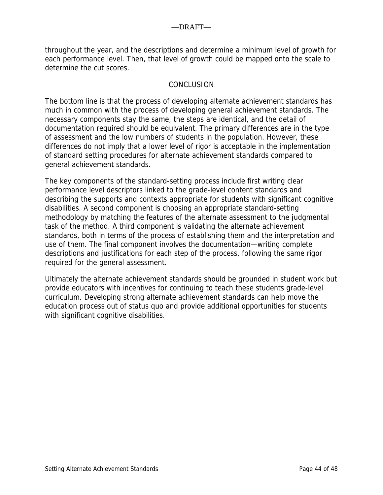throughout the year, and the descriptions and determine a minimum level of growth for each performance level. Then, that level of growth could be mapped onto the scale to determine the cut scores.

### **CONCLUSION**

The bottom line is that the process of developing alternate achievement standards has much in common with the process of developing general achievement standards. The necessary components stay the same, the steps are identical, and the detail of documentation required should be equivalent. The primary differences are in the type of assessment and the low numbers of students in the population. However, these differences do not imply that a lower level of rigor is acceptable in the implementation of standard setting procedures for alternate achievement standards compared to general achievement standards.

The key components of the standard-setting process include first writing clear performance level descriptors linked to the grade-level content standards and describing the supports and contexts appropriate for students with significant cognitive disabilities. A second component is choosing an appropriate standard-setting methodology by matching the features of the alternate assessment to the judgmental task of the method. A third component is validating the alternate achievement standards, both in terms of the process of establishing them and the interpretation and use of them. The final component involves the documentation—writing complete descriptions and justifications for each step of the process, following the same rigor required for the general assessment.

Ultimately the alternate achievement standards should be grounded in student work but provide educators with incentives for continuing to teach these students grade-level curriculum. Developing strong alternate achievement standards can help move the education process out of status quo and provide additional opportunities for students with significant cognitive disabilities.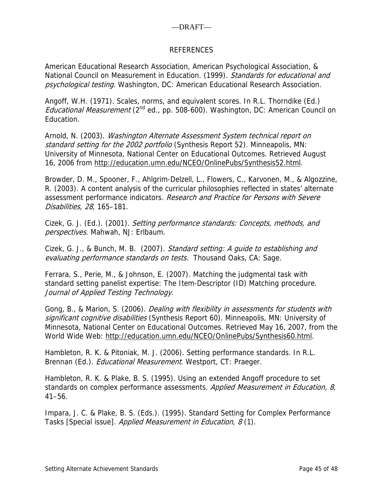### REFERENCES

American Educational Research Association, American Psychological Association, & National Council on Measurement in Education. (1999). Standards for educational and psychological testing. Washington, DC: American Educational Research Association.

Angoff, W.H. (1971). Scales, norms, and equivalent scores. In R.L. Thorndike (Ed.) *Educational Measurement* ( $2^{nd}$  ed., pp. 508-600). Washington, DC: American Council on Education.

Arnold, N. (2003). Washington Alternate Assessment System technical report on standard setting for the 2002 portfolio (Synthesis Report 52). Minneapolis, MN: University of Minnesota, National Center on Educational Outcomes. Retrieved August 16, 2006 from http://education.umn.edu/NCEO/OnlinePubs/Synthesis52.html.

Browder, D. M., Spooner, F., Ahlgrim-Delzell, L., Flowers, C., Karvonen, M., & Algozzine, R. (2003). A content analysis of the curricular philosophies reflected in states' alternate assessment performance indicators. Research and Practice for Persons with Severe Disabilities, 28, 165–181.

Cizek, G. J. (Ed.). (2001). Setting performance standards: Concepts, methods, and perspectives. Mahwah, NJ: Erlbaum.

Cizek, G. J., & Bunch, M. B. (2007). Standard setting: A guide to establishing and evaluating performance standards on tests. Thousand Oaks, CA: Sage.

Ferrara, S., Perie, M., & Johnson, E. (2007). Matching the judgmental task with standard setting panelist expertise: The Item-Descriptor (ID) Matching procedure. Journal of Applied Testing Technology.

Gong, B., & Marion, S. (2006). *Dealing with flexibility in assessments for students with* significant cognitive disabilities (Synthesis Report 60). Minneapolis, MN: University of Minnesota, National Center on Educational Outcomes. Retrieved May 16, 2007, from the World Wide Web: http://education.umn.edu/NCEO/OnlinePubs/Synthesis60.html.

Hambleton, R. K. & Pitoniak, M. J. (2006). Setting performance standards. In R.L. Brennan (Ed.). *Educational Measurement*. Westport, CT: Praeger.

Hambleton, R. K. & Plake, B. S. (1995). Using an extended Angoff procedure to set standards on complex performance assessments. Applied Measurement in Education, 8, 41–56.

Impara, J. C. & Plake, B. S. (Eds.). (1995). Standard Setting for Complex Performance Tasks [Special issue]. Applied Measurement in Education, 8 (1).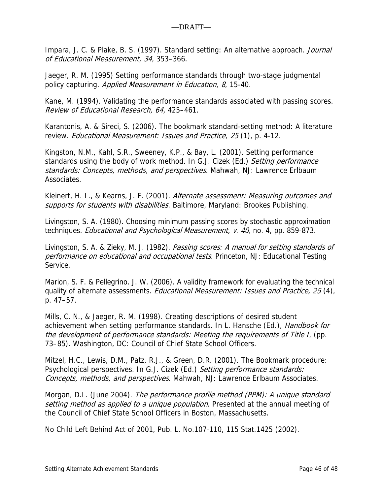Impara, J. C. & Plake, B. S. (1997). Standard setting: An alternative approach. Journal of Educational Measurement, 34, 353–366.

Jaeger, R. M. (1995) Setting performance standards through two-stage judgmental policy capturing. Applied Measurement in Education, 8, 15-40.

Kane, M. (1994). Validating the performance standards associated with passing scores. Review of Educational Research, 64, 425–461.

Karantonis, A. & Sireci, S. (2006). The bookmark standard-setting method: A literature review. Educational Measurement: Issues and Practice, 25 (1), p. 4-12.

Kingston, N.M., Kahl, S.R., Sweeney, K.P., & Bay, L. (2001). Setting performance standards using the body of work method. In G.J. Cizek (Ed.) Setting performance standards: Concepts, methods, and perspectives. Mahwah, NJ: Lawrence Erlbaum Associates.

Kleinert, H. L., & Kearns, J. F. (2001). Alternate assessment: Measuring outcomes and supports for students with disabilities. Baltimore, Maryland: Brookes Publishing.

Livingston, S. A. (1980). Choosing minimum passing scores by stochastic approximation techniques. *Educational and Psychological Measurement, v. 40*, no. 4, pp. 859-873.

Livingston, S. A. & Zieky, M. J. (1982). Passing scores: A manual for setting standards of performance on educational and occupational tests. Princeton, NJ: Educational Testing Service.

Marion, S. F. & Pellegrino. J. W. (2006). A validity framework for evaluating the technical quality of alternate assessments. *Educational Measurement: Issues and Practice, 25* (4), p. 47–57.

Mills, C. N., & Jaeger, R. M. (1998). Creating descriptions of desired student achievement when setting performance standards. In L. Hansche (Ed.), *Handbook for* the development of performance standards: Meeting the requirements of Title I, (pp. 73–85). Washington, DC: Council of Chief State School Officers.

Mitzel, H.C., Lewis, D.M., Patz, R.J., & Green, D.R. (2001). The Bookmark procedure: Psychological perspectives. In G.J. Cizek (Ed.) Setting performance standards: Concepts, methods, and perspectives. Mahwah, NJ: Lawrence Erlbaum Associates.

Morgan, D.L. (June 2004). The performance profile method (PPM): A unique standard setting method as applied to a unique population. Presented at the annual meeting of the Council of Chief State School Officers in Boston, Massachusetts.

No Child Left Behind Act of 2001, Pub. L. No.107-110, 115 Stat.1425 (2002).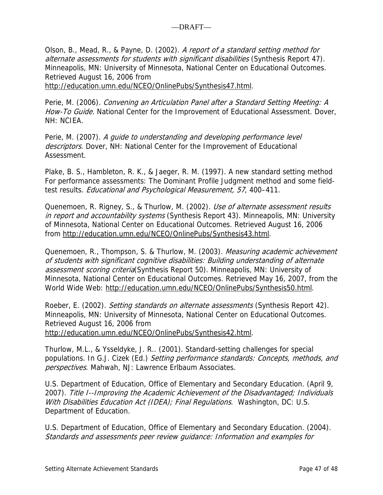Olson, B., Mead, R., & Payne, D. (2002). A report of a standard setting method for alternate assessments for students with significant disabilities (Synthesis Report 47). Minneapolis, MN: University of Minnesota, National Center on Educational Outcomes. Retrieved August 16, 2006 from

http://education.umn.edu/NCEO/OnlinePubs/Synthesis47.html.

Perie, M. (2006). Convening an Articulation Panel after a Standard Setting Meeting: A How-To Guide. National Center for the Improvement of Educational Assessment. Dover, NH: NCIEA.

Perie, M. (2007). A guide to understanding and developing performance level descriptors. Dover, NH: National Center for the Improvement of Educational Assessment.

Plake, B. S., Hambleton, R. K., & Jaeger, R. M. (1997). A new standard setting method For performance assessments: The Dominant Profile Judgment method and some fieldtest results. Educational and Psychological Measurement, 57, 400–411.

Quenemoen, R. Rigney, S., & Thurlow, M. (2002). Use of alternate assessment results in report and accountability systems (Synthesis Report 43). Minneapolis, MN: University of Minnesota, National Center on Educational Outcomes. Retrieved August 16, 2006 from http://education.umn.edu/NCEO/OnlinePubs/Synthesis43.html.

Quenemoen, R., Thompson, S. & Thurlow, M. (2003). Measuring academic achievement of students with significant cognitive disabilities: Building understanding of alternate assessment scoring criteria(Synthesis Report 50). Minneapolis, MN: University of Minnesota, National Center on Educational Outcomes. Retrieved May 16, 2007, from the World Wide Web: http://education.umn.edu/NCEO/OnlinePubs/Synthesis50.html.

Roeber, E. (2002). Setting standards on alternate assessments (Synthesis Report 42). Minneapolis, MN: University of Minnesota, National Center on Educational Outcomes. Retrieved August 16, 2006 from http://education.umn.edu/NCEO/OnlinePubs/Synthesis42.html.

Thurlow, M.L., & Ysseldyke, J. R.. (2001). Standard-setting challenges for special populations. In G.J. Cizek (Ed.) Setting performance standards: Concepts, methods, and perspectives. Mahwah, NJ: Lawrence Erlbaum Associates.

U.S. Department of Education, Office of Elementary and Secondary Education. (April 9, 2007). Title I--Improving the Academic Achievement of the Disadvantaged; Individuals With Disabilities Education Act (IDEA); Final Regulations. Washington, DC: U.S. Department of Education.

U.S. Department of Education, Office of Elementary and Secondary Education. (2004). Standards and assessments peer review guidance: Information and examples for